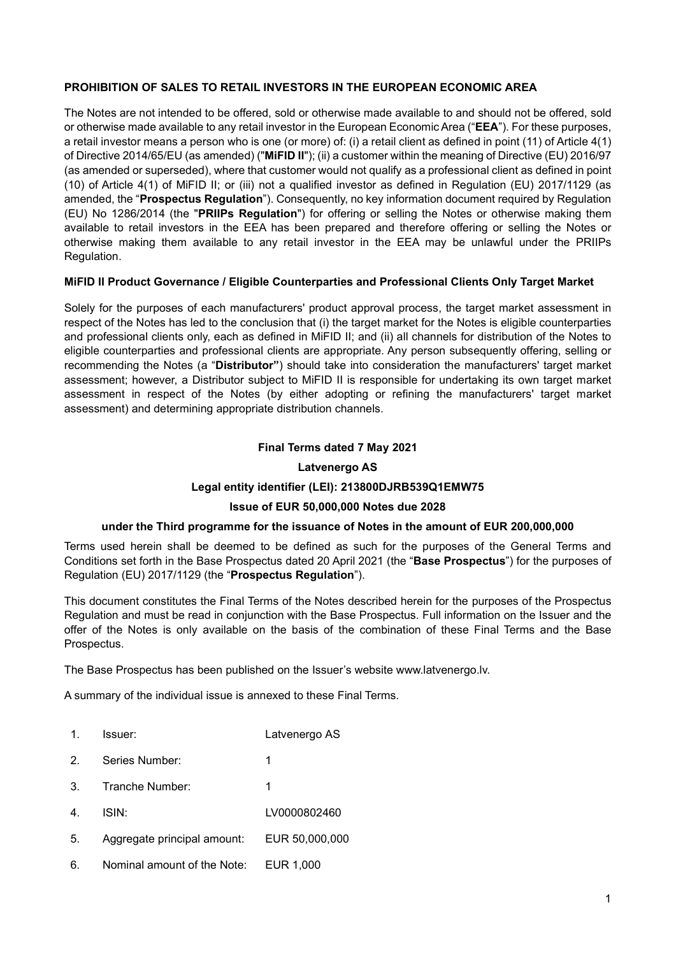# PROHIBITION OF SALES TO RETAIL INVESTORS IN THE EUROPEAN ECONOMIC AREA

The Notes are not intended to be offered, sold or otherwise made available to and should not be offered, sold or otherwise made available to any retail investor in the European Economic Area ("EEA"). For these purposes, a retail investor means a person who is one (or more) of: (i) a retail client as defined in point (11) of Article 4(1) of Directive 2014/65/EU (as amended) ("MiFID II"); (ii) a customer within the meaning of Directive (EU) 2016/97 (as amended or superseded), where that customer would not qualify as a professional client as defined in point (10) of Article 4(1) of MiFID II; or (iii) not a qualified investor as defined in Regulation (EU) 2017/1129 (as amended, the "Prospectus Regulation"). Consequently, no key information document required by Regulation (EU) No 1286/2014 (the "PRIIPs Regulation") for offering or selling the Notes or otherwise making them available to retail investors in the EEA has been prepared and therefore offering or selling the Notes or otherwise making them available to any retail investor in the EEA may be unlawful under the PRIIPs Regulation.

# MiFID II Product Governance / Eligible Counterparties and Professional Clients Only Target Market

Solely for the purposes of each manufacturers' product approval process, the target market assessment in respect of the Notes has led to the conclusion that (i) the target market for the Notes is eligible counterparties and professional clients only, each as defined in MiFID II; and (ii) all channels for distribution of the Notes to eligible counterparties and professional clients are appropriate. Any person subsequently offering, selling or recommending the Notes (a "Distributor") should take into consideration the manufacturers' target market assessment; however, a Distributor subject to MiFID II is responsible for undertaking its own target market assessment in respect of the Notes (by either adopting or refining the manufacturers' target market assessment) and determining appropriate distribution channels.

# Final Terms dated 7 May 2021

# Latvenergo AS

# Legal entity identifier (LEI): 213800DJRB539Q1EMW75

# Issue of EUR 50,000,000 Notes due 2028

# under the Third programme for the issuance of Notes in the amount of EUR 200,000,000

Terms used herein shall be deemed to be defined as such for the purposes of the General Terms and Conditions set forth in the Base Prospectus dated 20 April 2021 (the "Base Prospectus") for the purposes of Regulation (EU) 2017/1129 (the "Prospectus Regulation").

This document constitutes the Final Terms of the Notes described herein for the purposes of the Prospectus Regulation and must be read in conjunction with the Base Prospectus. Full information on the Issuer and the offer of the Notes is only available on the basis of the combination of these Final Terms and the Base Prospectus.

The Base Prospectus has been published on the Issuer's website www.latvenergo.lv.

A summary of the individual issue is annexed to these Final Terms.

- 1. Issuer: Latvenergo AS
- 2. Series Number: 1
- 3. Tranche Number: 1
- 4. ISIN: LV0000802460
- 5. Aggregate principal amount: EUR 50,000,000
- 6. Nominal amount of the Note: EUR 1,000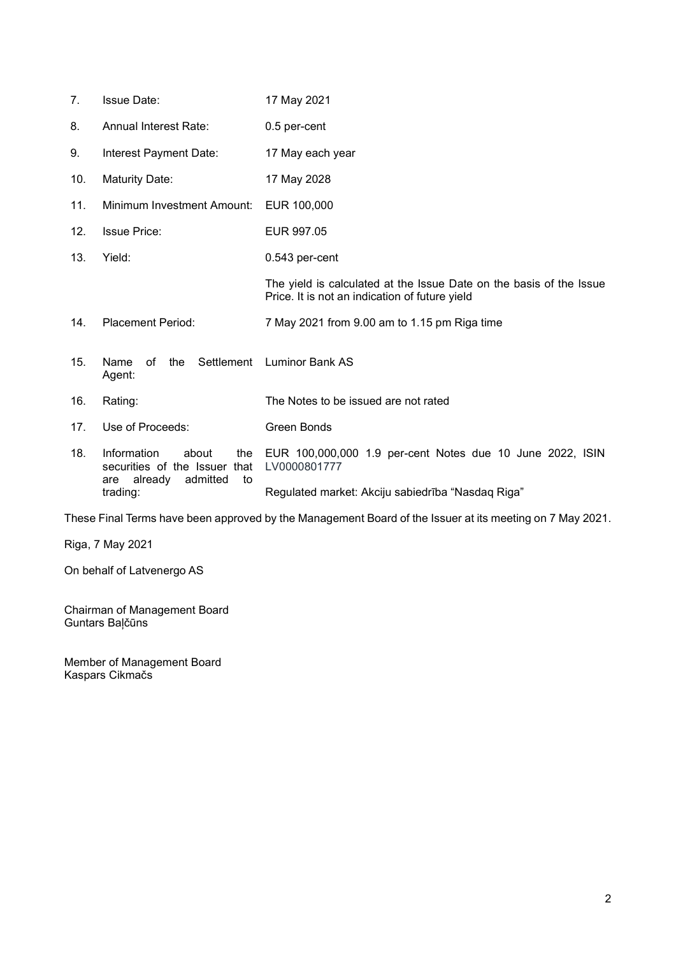| 7 <sub>1</sub> | <b>Issue Date:</b>                                                                                  | 17 May 2021                                                                                                           |  |  |
|----------------|-----------------------------------------------------------------------------------------------------|-----------------------------------------------------------------------------------------------------------------------|--|--|
| 8.             | <b>Annual Interest Rate:</b>                                                                        | 0.5 per-cent                                                                                                          |  |  |
| 9.             | Interest Payment Date:                                                                              | 17 May each year                                                                                                      |  |  |
| 10.            | <b>Maturity Date:</b>                                                                               | 17 May 2028                                                                                                           |  |  |
| 11.            | Minimum Investment Amount:                                                                          | EUR 100,000                                                                                                           |  |  |
| 12.            | <b>Issue Price:</b>                                                                                 | EUR 997.05                                                                                                            |  |  |
| 13.            | Yield:                                                                                              | 0.543 per-cent                                                                                                        |  |  |
|                |                                                                                                     | The yield is calculated at the Issue Date on the basis of the Issue<br>Price. It is not an indication of future yield |  |  |
| 14.            | <b>Placement Period:</b>                                                                            | 7 May 2021 from 9.00 am to 1.15 pm Riga time                                                                          |  |  |
| 15.            | Settlement<br>Name<br>of<br>the<br>Agent:                                                           | <b>Luminor Bank AS</b>                                                                                                |  |  |
| 16.            | Rating:                                                                                             | The Notes to be issued are not rated                                                                                  |  |  |
| 17.            | Use of Proceeds:                                                                                    | <b>Green Bonds</b>                                                                                                    |  |  |
| 18.            | Information<br>about<br>the<br>securities of the Issuer<br>that<br>already<br>admitted<br>to<br>are | EUR 100,000,000 1.9 per-cent Notes due 10 June 2022, ISIN<br>LV0000801777                                             |  |  |
|                | trading:                                                                                            | Regulated market: Akciju sabiedrība "Nasdaq Riga"                                                                     |  |  |

These Final Terms have been approved by the Management Board of the Issuer at its meeting on 7 May 2021.

Riga, 7 May 2021

On behalf of Latvenergo AS

Chairman of Management Board Guntars Baļčūns

Member of Management Board Kaspars Cikmačs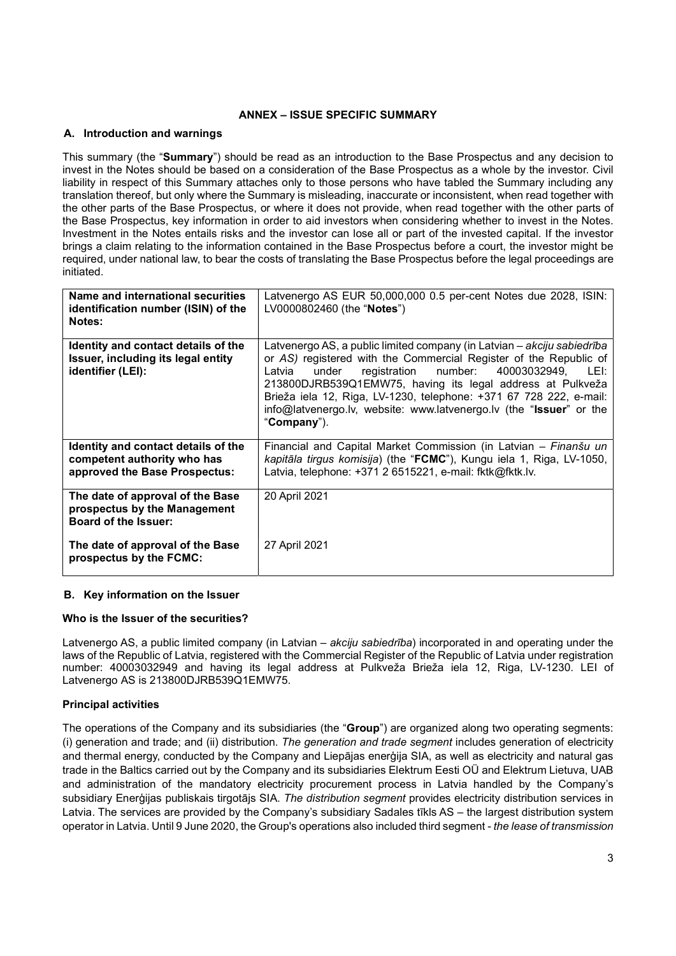# ANNEX – ISSUE SPECIFIC SUMMARY

## A. Introduction and warnings

This summary (the "Summary") should be read as an introduction to the Base Prospectus and any decision to invest in the Notes should be based on a consideration of the Base Prospectus as a whole by the investor. Civil liability in respect of this Summary attaches only to those persons who have tabled the Summary including any translation thereof, but only where the Summary is misleading, inaccurate or inconsistent, when read together with the other parts of the Base Prospectus, or where it does not provide, when read together with the other parts of the Base Prospectus, key information in order to aid investors when considering whether to invest in the Notes. Investment in the Notes entails risks and the investor can lose all or part of the invested capital. If the investor brings a claim relating to the information contained in the Base Prospectus before a court, the investor might be required, under national law, to bear the costs of translating the Base Prospectus before the legal proceedings are initiated.

| <b>Name and international securities</b><br>identification number (ISIN) of the<br>Notes:           | Latvenergo AS EUR 50,000,000 0.5 per-cent Notes due 2028, ISIN:<br>LV0000802460 (the " <b>Notes</b> ")                                                                                                                                                                                                                                                                                                                              |
|-----------------------------------------------------------------------------------------------------|-------------------------------------------------------------------------------------------------------------------------------------------------------------------------------------------------------------------------------------------------------------------------------------------------------------------------------------------------------------------------------------------------------------------------------------|
| Identity and contact details of the<br>Issuer, including its legal entity<br>identifier (LEI):      | Latvenergo AS, a public limited company (in Latvian - akciju sabiedrība<br>or AS) registered with the Commercial Register of the Republic of<br>registration number: 40003032949, LEI:<br>Latvia<br>under<br>213800DJRB539Q1EMW75, having its legal address at Pulkveža<br>Brieža iela 12, Riga, LV-1230, telephone: +371 67 728 222, e-mail:<br>info@latvenergo.lv, website: www.latvenergo.lv (the "Issuer" or the<br>"Company"). |
| Identity and contact details of the<br>competent authority who has<br>approved the Base Prospectus: | Financial and Capital Market Commission (in Latvian - Finanšu un<br>kapitāla tirgus komisija) (the "FCMC"), Kungu iela 1, Riga, LV-1050,<br>Latvia, telephone: +371 2 6515221, e-mail: fktk@fktk.lv.                                                                                                                                                                                                                                |
| The date of approval of the Base<br>prospectus by the Management<br><b>Board of the Issuer:</b>     | 20 April 2021                                                                                                                                                                                                                                                                                                                                                                                                                       |
| The date of approval of the Base<br>prospectus by the FCMC:                                         | 27 April 2021                                                                                                                                                                                                                                                                                                                                                                                                                       |

## B. Key information on the Issuer

## Who is the Issuer of the securities?

Latvenergo AS, a public limited company (in Latvian – *akciju sabiedrība*) incorporated in and operating under the laws of the Republic of Latvia, registered with the Commercial Register of the Republic of Latvia under registration number: 40003032949 and having its legal address at Pulkveža Brieža iela 12, Riga, LV-1230. LEI of Latvenergo AS is 213800DJRB539Q1EMW75.

# Principal activities

The operations of the Company and its subsidiaries (the "Group") are organized along two operating segments: (i) generation and trade; and (ii) distribution. The generation and trade segment includes generation of electricity and thermal energy, conducted by the Company and Liepājas enerģija SIA, as well as electricity and natural gas trade in the Baltics carried out by the Company and its subsidiaries Elektrum Eesti OÜ and Elektrum Lietuva, UAB and administration of the mandatory electricity procurement process in Latvia handled by the Company's subsidiary Enerģijas publiskais tirgotājs SIA. The distribution segment provides electricity distribution services in Latvia. The services are provided by the Company's subsidiary Sadales tīkls AS – the largest distribution system operator in Latvia. Until 9 June 2020, the Group's operations also included third segment - the lease of transmission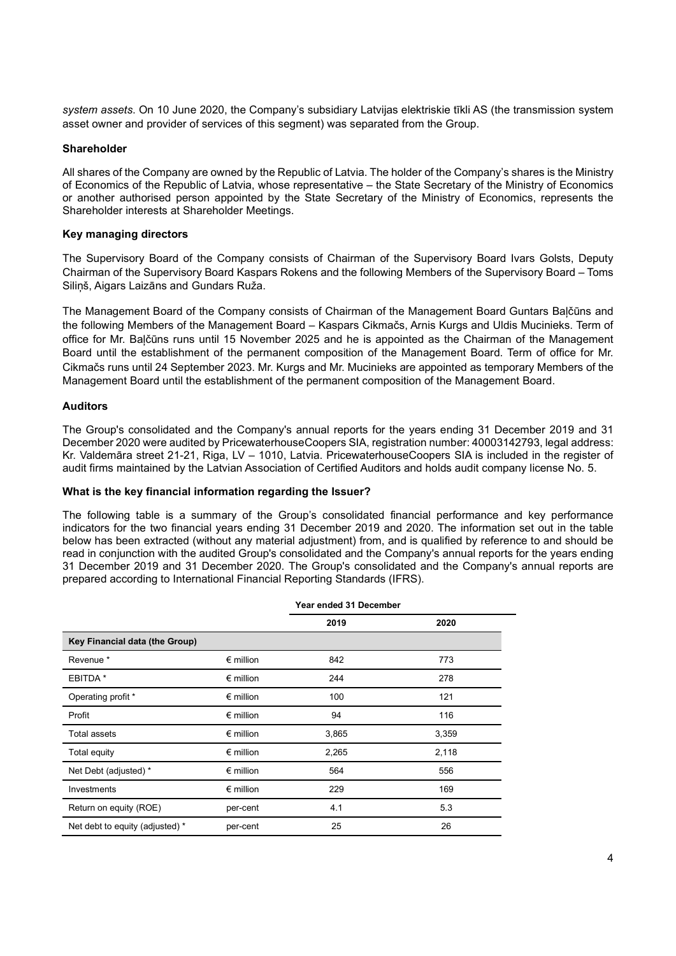system assets. On 10 June 2020, the Company's subsidiary Latvijas elektriskie tīkli AS (the transmission system asset owner and provider of services of this segment) was separated from the Group.

## Shareholder

All shares of the Company are owned by the Republic of Latvia. The holder of the Company's shares is the Ministry of Economics of the Republic of Latvia, whose representative – the State Secretary of the Ministry of Economics or another authorised person appointed by the State Secretary of the Ministry of Economics, represents the Shareholder interests at Shareholder Meetings.

## Key managing directors

The Supervisory Board of the Company consists of Chairman of the Supervisory Board Ivars Golsts, Deputy Chairman of the Supervisory Board Kaspars Rokens and the following Members of the Supervisory Board – Toms Siliņš, Aigars Laizāns and Gundars Ruža.

The Management Board of the Company consists of Chairman of the Management Board Guntars Baļčūns and the following Members of the Management Board – Kaspars Cikmačs, Arnis Kurgs and Uldis Mucinieks. Term of office for Mr. Baļčūns runs until 15 November 2025 and he is appointed as the Chairman of the Management Board until the establishment of the permanent composition of the Management Board. Term of office for Mr. Cikmačs runs until 24 September 2023. Mr. Kurgs and Mr. Mucinieks are appointed as temporary Members of the Management Board until the establishment of the permanent composition of the Management Board.

# Auditors

The Group's consolidated and the Company's annual reports for the years ending 31 December 2019 and 31 December 2020 were audited by PricewaterhouseCoopers SIA, registration number: 40003142793, legal address: Kr. Valdemāra street 21-21, Riga, LV – 1010, Latvia. PricewaterhouseCoopers SIA is included in the register of audit firms maintained by the Latvian Association of Certified Auditors and holds audit company license No. 5.

## What is the key financial information regarding the Issuer?

The following table is a summary of the Group's consolidated financial performance and key performance indicators for the two financial years ending 31 December 2019 and 2020. The information set out in the table below has been extracted (without any material adjustment) from, and is qualified by reference to and should be read in conjunction with the audited Group's consolidated and the Company's annual reports for the years ending 31 December 2019 and 31 December 2020. The Group's consolidated and the Company's annual reports are prepared according to International Financial Reporting Standards (IFRS).

|                                 | Year ended 31 December |       |       |
|---------------------------------|------------------------|-------|-------|
|                                 |                        | 2019  | 2020  |
| Key Financial data (the Group)  |                        |       |       |
| Revenue <sup>*</sup>            | $\epsilon$ million     | 842   | 773   |
| EBITDA *                        | $\epsilon$ million     | 244   | 278   |
| Operating profit *              | $\epsilon$ million     | 100   | 121   |
| Profit                          | $\epsilon$ million     | 94    | 116   |
| <b>Total assets</b>             | $\epsilon$ million     | 3,865 | 3,359 |
| Total equity                    | $\epsilon$ million     | 2,265 | 2,118 |
| Net Debt (adjusted) *           | $\epsilon$ million     | 564   | 556   |
| Investments                     | $\epsilon$ million     | 229   | 169   |
| Return on equity (ROE)          | per-cent               | 4.1   | 5.3   |
| Net debt to equity (adjusted) * | per-cent               | 25    | 26    |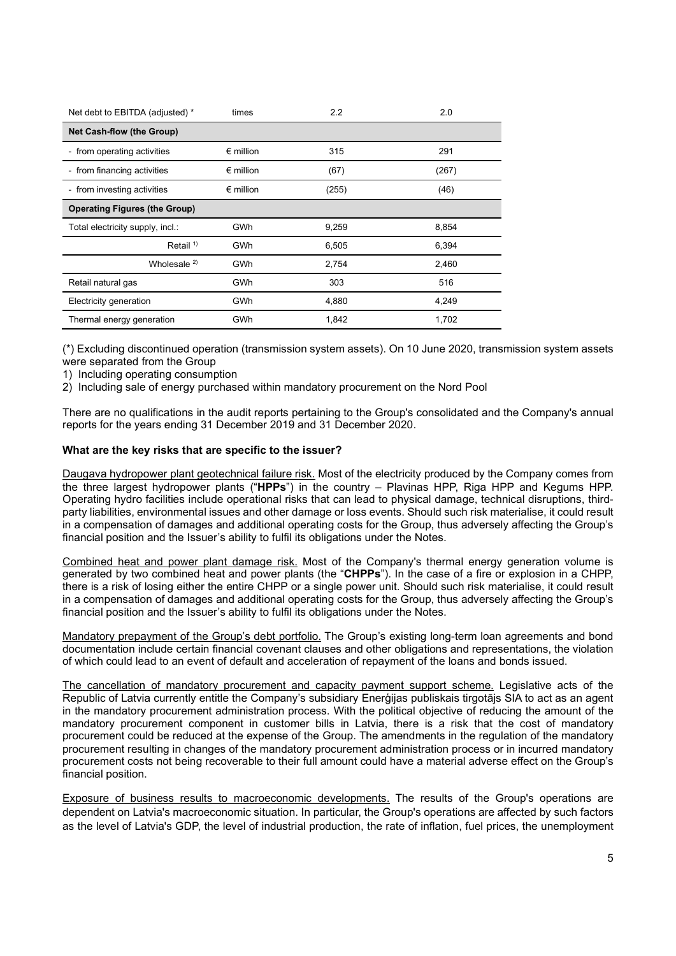| Net debt to EBITDA (adjusted) *      | times              | 2.2   | 2.0   |  |  |  |
|--------------------------------------|--------------------|-------|-------|--|--|--|
| <b>Net Cash-flow (the Group)</b>     |                    |       |       |  |  |  |
| - from operating activities          | $\epsilon$ million | 315   | 291   |  |  |  |
| - from financing activities          | $\epsilon$ million | (67)  | (267) |  |  |  |
| - from investing activities          | $\epsilon$ million | (255) | (46)  |  |  |  |
| <b>Operating Figures (the Group)</b> |                    |       |       |  |  |  |
| Total electricity supply, incl.:     | GWh                | 9,259 | 8,854 |  |  |  |
| Retail $1$ <sup>1)</sup>             | GWh                | 6,505 | 6,394 |  |  |  |
| Wholesale $2)$                       | <b>GWh</b>         | 2,754 | 2,460 |  |  |  |
| Retail natural gas                   | GWh                | 303   | 516   |  |  |  |
| Electricity generation               | GWh                | 4,880 | 4,249 |  |  |  |
| Thermal energy generation            | GWh                | 1,842 | 1,702 |  |  |  |

(\*) Excluding discontinued operation (transmission system assets). On 10 June 2020, transmission system assets were separated from the Group

1) Including operating consumption

2) Including sale of energy purchased within mandatory procurement on the Nord Pool

There are no qualifications in the audit reports pertaining to the Group's consolidated and the Company's annual reports for the years ending 31 December 2019 and 31 December 2020.

## What are the key risks that are specific to the issuer?

Daugava hydropower plant geotechnical failure risk. Most of the electricity produced by the Company comes from the three largest hydropower plants ("HPPs") in the country – Plavinas HPP, Riga HPP and Kegums HPP. Operating hydro facilities include operational risks that can lead to physical damage, technical disruptions, thirdparty liabilities, environmental issues and other damage or loss events. Should such risk materialise, it could result in a compensation of damages and additional operating costs for the Group, thus adversely affecting the Group's financial position and the Issuer's ability to fulfil its obligations under the Notes.

Combined heat and power plant damage risk. Most of the Company's thermal energy generation volume is generated by two combined heat and power plants (the "CHPPs"). In the case of a fire or explosion in a CHPP, there is a risk of losing either the entire CHPP or a single power unit. Should such risk materialise, it could result in a compensation of damages and additional operating costs for the Group, thus adversely affecting the Group's financial position and the Issuer's ability to fulfil its obligations under the Notes.

Mandatory prepayment of the Group's debt portfolio. The Group's existing long-term loan agreements and bond documentation include certain financial covenant clauses and other obligations and representations, the violation of which could lead to an event of default and acceleration of repayment of the loans and bonds issued.

The cancellation of mandatory procurement and capacity payment support scheme. Legislative acts of the Republic of Latvia currently entitle the Company's subsidiary Enerģijas publiskais tirgotājs SIA to act as an agent in the mandatory procurement administration process. With the political objective of reducing the amount of the mandatory procurement component in customer bills in Latvia, there is a risk that the cost of mandatory procurement could be reduced at the expense of the Group. The amendments in the regulation of the mandatory procurement resulting in changes of the mandatory procurement administration process or in incurred mandatory procurement costs not being recoverable to their full amount could have a material adverse effect on the Group's financial position.

Exposure of business results to macroeconomic developments. The results of the Group's operations are dependent on Latvia's macroeconomic situation. In particular, the Group's operations are affected by such factors as the level of Latvia's GDP, the level of industrial production, the rate of inflation, fuel prices, the unemployment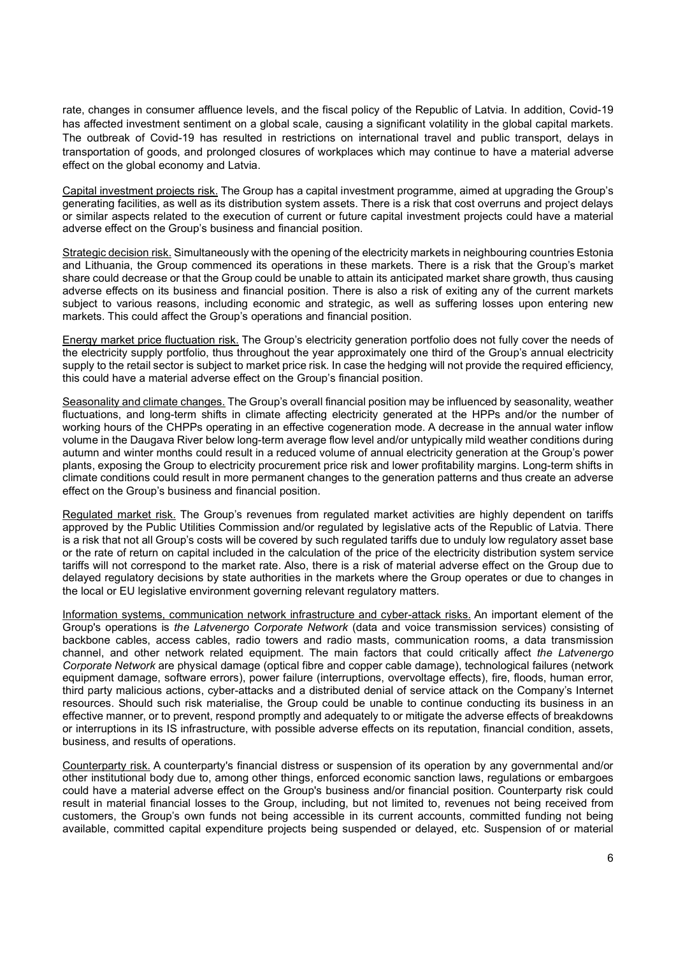rate, changes in consumer affluence levels, and the fiscal policy of the Republic of Latvia. In addition, Covid-19 has affected investment sentiment on a global scale, causing a significant volatility in the global capital markets. The outbreak of Covid-19 has resulted in restrictions on international travel and public transport, delays in transportation of goods, and prolonged closures of workplaces which may continue to have a material adverse effect on the global economy and Latvia.

Capital investment projects risk. The Group has a capital investment programme, aimed at upgrading the Group's generating facilities, as well as its distribution system assets. There is a risk that cost overruns and project delays or similar aspects related to the execution of current or future capital investment projects could have a material adverse effect on the Group's business and financial position.

Strategic decision risk. Simultaneously with the opening of the electricity markets in neighbouring countries Estonia and Lithuania, the Group commenced its operations in these markets. There is a risk that the Group's market share could decrease or that the Group could be unable to attain its anticipated market share growth, thus causing adverse effects on its business and financial position. There is also a risk of exiting any of the current markets subject to various reasons, including economic and strategic, as well as suffering losses upon entering new markets. This could affect the Group's operations and financial position.

Energy market price fluctuation risk. The Group's electricity generation portfolio does not fully cover the needs of the electricity supply portfolio, thus throughout the year approximately one third of the Group's annual electricity supply to the retail sector is subject to market price risk. In case the hedging will not provide the required efficiency, this could have a material adverse effect on the Group's financial position.

Seasonality and climate changes. The Group's overall financial position may be influenced by seasonality, weather fluctuations, and long-term shifts in climate affecting electricity generated at the HPPs and/or the number of working hours of the CHPPs operating in an effective cogeneration mode. A decrease in the annual water inflow volume in the Daugava River below long-term average flow level and/or untypically mild weather conditions during autumn and winter months could result in a reduced volume of annual electricity generation at the Group's power plants, exposing the Group to electricity procurement price risk and lower profitability margins. Long-term shifts in climate conditions could result in more permanent changes to the generation patterns and thus create an adverse effect on the Group's business and financial position.

Regulated market risk. The Group's revenues from regulated market activities are highly dependent on tariffs approved by the Public Utilities Commission and/or regulated by legislative acts of the Republic of Latvia. There is a risk that not all Group's costs will be covered by such regulated tariffs due to unduly low regulatory asset base or the rate of return on capital included in the calculation of the price of the electricity distribution system service tariffs will not correspond to the market rate. Also, there is a risk of material adverse effect on the Group due to delayed regulatory decisions by state authorities in the markets where the Group operates or due to changes in the local or EU legislative environment governing relevant regulatory matters.

Information systems, communication network infrastructure and cyber-attack risks. An important element of the Group's operations is the Latvenergo Corporate Network (data and voice transmission services) consisting of backbone cables, access cables, radio towers and radio masts, communication rooms, a data transmission channel, and other network related equipment. The main factors that could critically affect the Latvenergo Corporate Network are physical damage (optical fibre and copper cable damage), technological failures (network equipment damage, software errors), power failure (interruptions, overvoltage effects), fire, floods, human error, third party malicious actions, cyber-attacks and a distributed denial of service attack on the Company's Internet resources. Should such risk materialise, the Group could be unable to continue conducting its business in an effective manner, or to prevent, respond promptly and adequately to or mitigate the adverse effects of breakdowns or interruptions in its IS infrastructure, with possible adverse effects on its reputation, financial condition, assets, business, and results of operations.

Counterparty risk. A counterparty's financial distress or suspension of its operation by any governmental and/or other institutional body due to, among other things, enforced economic sanction laws, regulations or embargoes could have a material adverse effect on the Group's business and/or financial position. Counterparty risk could result in material financial losses to the Group, including, but not limited to, revenues not being received from customers, the Group's own funds not being accessible in its current accounts, committed funding not being available, committed capital expenditure projects being suspended or delayed, etc. Suspension of or material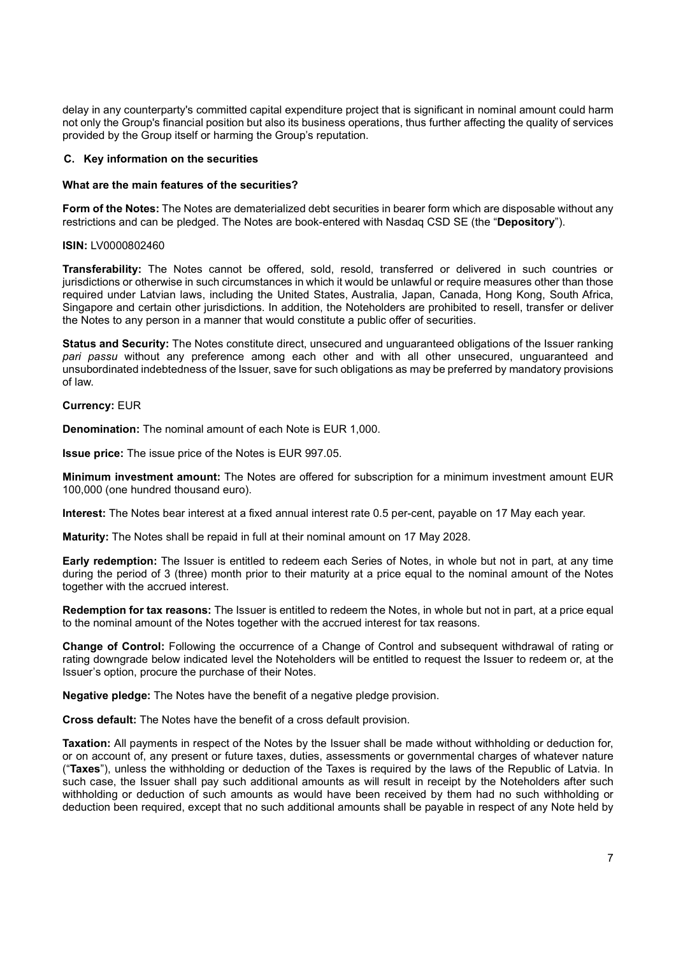delay in any counterparty's committed capital expenditure project that is significant in nominal amount could harm not only the Group's financial position but also its business operations, thus further affecting the quality of services provided by the Group itself or harming the Group's reputation.

## C. Key information on the securities

## What are the main features of the securities?

Form of the Notes: The Notes are dematerialized debt securities in bearer form which are disposable without any restrictions and can be pledged. The Notes are book-entered with Nasdaq CSD SE (the "Depository").

### ISIN: LV0000802460

Transferability: The Notes cannot be offered, sold, resold, transferred or delivered in such countries or jurisdictions or otherwise in such circumstances in which it would be unlawful or require measures other than those required under Latvian laws, including the United States, Australia, Japan, Canada, Hong Kong, South Africa, Singapore and certain other jurisdictions. In addition, the Noteholders are prohibited to resell, transfer or deliver the Notes to any person in a manner that would constitute a public offer of securities.

Status and Security: The Notes constitute direct, unsecured and unguaranteed obligations of the Issuer ranking pari passu without any preference among each other and with all other unsecured, unguaranteed and unsubordinated indebtedness of the Issuer, save for such obligations as may be preferred by mandatory provisions of law.

### Currency: EUR

Denomination: The nominal amount of each Note is EUR 1,000.

Issue price: The issue price of the Notes is EUR 997.05.

Minimum investment amount: The Notes are offered for subscription for a minimum investment amount EUR 100,000 (one hundred thousand euro).

Interest: The Notes bear interest at a fixed annual interest rate 0.5 per-cent, payable on 17 May each year.

Maturity: The Notes shall be repaid in full at their nominal amount on 17 May 2028.

Early redemption: The Issuer is entitled to redeem each Series of Notes, in whole but not in part, at any time during the period of 3 (three) month prior to their maturity at a price equal to the nominal amount of the Notes together with the accrued interest.

Redemption for tax reasons: The Issuer is entitled to redeem the Notes, in whole but not in part, at a price equal to the nominal amount of the Notes together with the accrued interest for tax reasons.

Change of Control: Following the occurrence of a Change of Control and subsequent withdrawal of rating or rating downgrade below indicated level the Noteholders will be entitled to request the Issuer to redeem or, at the Issuer's option, procure the purchase of their Notes.

Negative pledge: The Notes have the benefit of a negative pledge provision.

Cross default: The Notes have the benefit of a cross default provision.

Taxation: All payments in respect of the Notes by the Issuer shall be made without withholding or deduction for, or on account of, any present or future taxes, duties, assessments or governmental charges of whatever nature ("Taxes"), unless the withholding or deduction of the Taxes is required by the laws of the Republic of Latvia. In such case, the Issuer shall pay such additional amounts as will result in receipt by the Noteholders after such withholding or deduction of such amounts as would have been received by them had no such withholding or deduction been required, except that no such additional amounts shall be payable in respect of any Note held by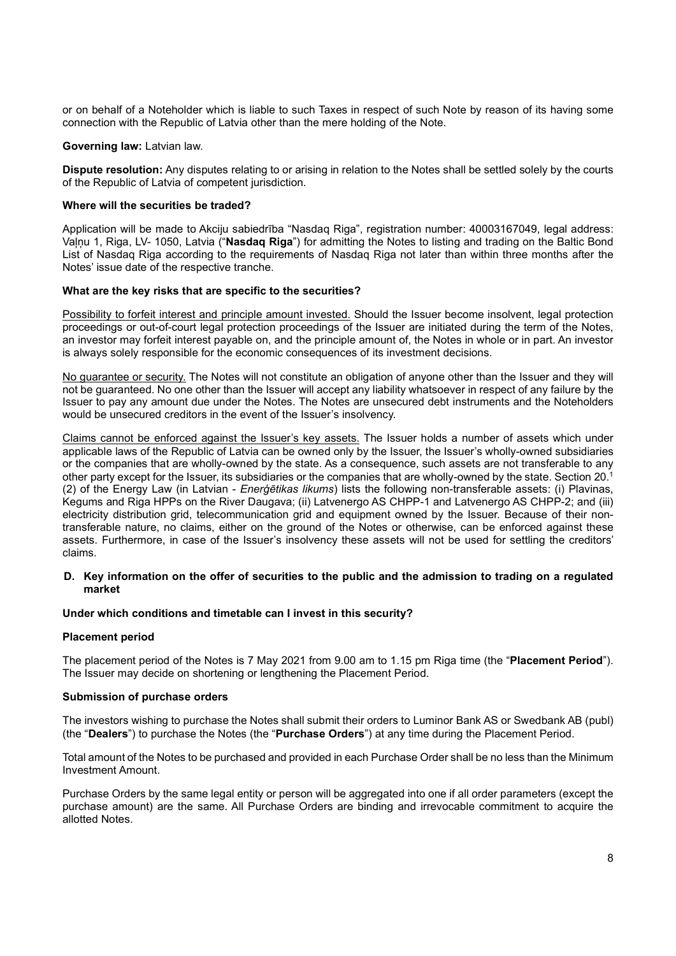or on behalf of a Noteholder which is liable to such Taxes in respect of such Note by reason of its having some connection with the Republic of Latvia other than the mere holding of the Note.

### Governing law: Latvian law.

Dispute resolution: Any disputes relating to or arising in relation to the Notes shall be settled solely by the courts of the Republic of Latvia of competent jurisdiction.

### Where will the securities be traded?

Application will be made to Akciju sabiedrība "Nasdaq Riga", registration number: 40003167049, legal address: Vaļņu 1, Riga, LV- 1050, Latvia ("Nasdaq Riga") for admitting the Notes to listing and trading on the Baltic Bond List of Nasdaq Riga according to the requirements of Nasdaq Riga not later than within three months after the Notes' issue date of the respective tranche.

### What are the key risks that are specific to the securities?

Possibility to forfeit interest and principle amount invested. Should the Issuer become insolvent, legal protection proceedings or out-of-court legal protection proceedings of the Issuer are initiated during the term of the Notes, an investor may forfeit interest payable on, and the principle amount of, the Notes in whole or in part. An investor is always solely responsible for the economic consequences of its investment decisions.

No guarantee or security. The Notes will not constitute an obligation of anyone other than the Issuer and they will not be guaranteed. No one other than the Issuer will accept any liability whatsoever in respect of any failure by the Issuer to pay any amount due under the Notes. The Notes are unsecured debt instruments and the Noteholders would be unsecured creditors in the event of the Issuer's insolvency.

Claims cannot be enforced against the Issuer's key assets. The Issuer holds a number of assets which under applicable laws of the Republic of Latvia can be owned only by the Issuer, the Issuer's wholly-owned subsidiaries or the companies that are wholly-owned by the state. As a consequence, such assets are not transferable to any other party except for the Issuer, its subsidiaries or the companies that are wholly-owned by the state. Section 20.<sup>1</sup> (2) of the Energy Law (in Latvian - Enerģētikas likums) lists the following non-transferable assets: (i) Plavinas, Kegums and Riga HPPs on the River Daugava; (ii) Latvenergo AS CHPP-1 and Latvenergo AS CHPP-2; and (iii) electricity distribution grid, telecommunication grid and equipment owned by the Issuer. Because of their nontransferable nature, no claims, either on the ground of the Notes or otherwise, can be enforced against these assets. Furthermore, in case of the Issuer's insolvency these assets will not be used for settling the creditors' claims.

## D. Key information on the offer of securities to the public and the admission to trading on a regulated market

## Under which conditions and timetable can I invest in this security?

#### Placement period

The placement period of the Notes is 7 May 2021 from 9.00 am to 1.15 pm Riga time (the "Placement Period"). The Issuer may decide on shortening or lengthening the Placement Period.

#### Submission of purchase orders

The investors wishing to purchase the Notes shall submit their orders to Luminor Bank AS or Swedbank AB (publ) (the "Dealers") to purchase the Notes (the "Purchase Orders") at any time during the Placement Period.

Total amount of the Notes to be purchased and provided in each Purchase Order shall be no less than the Minimum Investment Amount.

Purchase Orders by the same legal entity or person will be aggregated into one if all order parameters (except the purchase amount) are the same. All Purchase Orders are binding and irrevocable commitment to acquire the allotted Notes.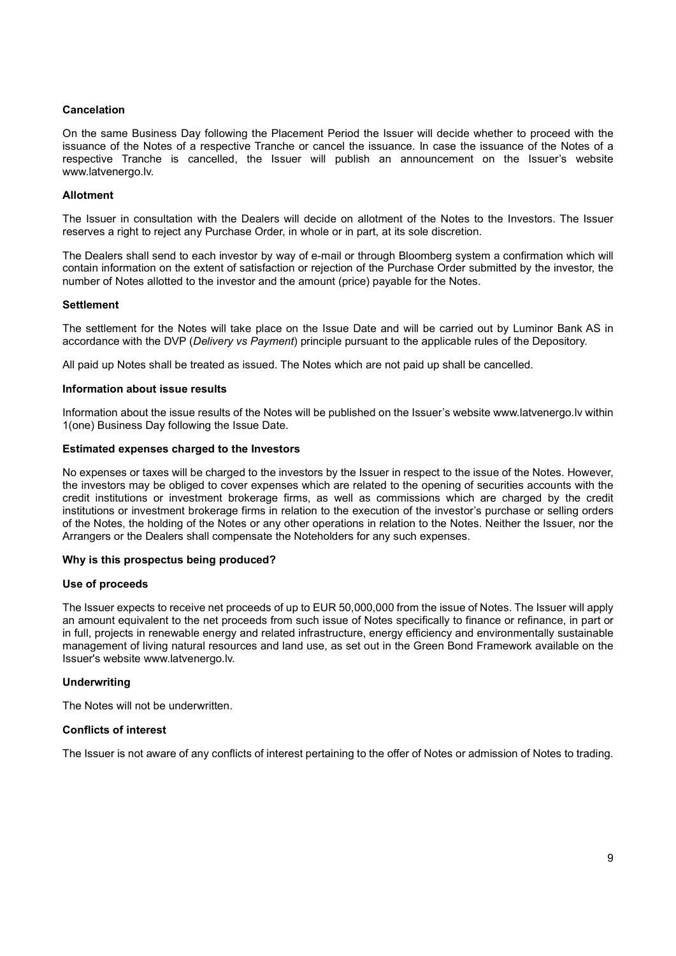## Cancelation

On the same Business Day following the Placement Period the Issuer will decide whether to proceed with the issuance of the Notes of a respective Tranche or cancel the issuance. In case the issuance of the Notes of a respective Tranche is cancelled, the Issuer will publish an announcement on the Issuer's website www.latvenergo.lv.

## Allotment

The Issuer in consultation with the Dealers will decide on allotment of the Notes to the Investors. The Issuer reserves a right to reject any Purchase Order, in whole or in part, at its sole discretion.

The Dealers shall send to each investor by way of e-mail or through Bloomberg system a confirmation which will contain information on the extent of satisfaction or rejection of the Purchase Order submitted by the investor, the number of Notes allotted to the investor and the amount (price) payable for the Notes.

## **Settlement**

The settlement for the Notes will take place on the Issue Date and will be carried out by Luminor Bank AS in accordance with the DVP (Delivery vs Payment) principle pursuant to the applicable rules of the Depository.

All paid up Notes shall be treated as issued. The Notes which are not paid up shall be cancelled.

### Information about issue results

Information about the issue results of the Notes will be published on the Issuer's website www.latvenergo.lv within 1(one) Business Day following the Issue Date.

### Estimated expenses charged to the Investors

No expenses or taxes will be charged to the investors by the Issuer in respect to the issue of the Notes. However, the investors may be obliged to cover expenses which are related to the opening of securities accounts with the credit institutions or investment brokerage firms, as well as commissions which are charged by the credit institutions or investment brokerage firms in relation to the execution of the investor's purchase or selling orders of the Notes, the holding of the Notes or any other operations in relation to the Notes. Neither the Issuer, nor the Arrangers or the Dealers shall compensate the Noteholders for any such expenses.

## Why is this prospectus being produced?

## Use of proceeds

The Issuer expects to receive net proceeds of up to EUR 50,000,000 from the issue of Notes. The Issuer will apply an amount equivalent to the net proceeds from such issue of Notes specifically to finance or refinance, in part or in full, projects in renewable energy and related infrastructure, energy efficiency and environmentally sustainable management of living natural resources and land use, as set out in the Green Bond Framework available on the Issuer's website www.latvenergo.lv.

## **Underwriting**

The Notes will not be underwritten.

## Conflicts of interest

The Issuer is not aware of any conflicts of interest pertaining to the offer of Notes or admission of Notes to trading.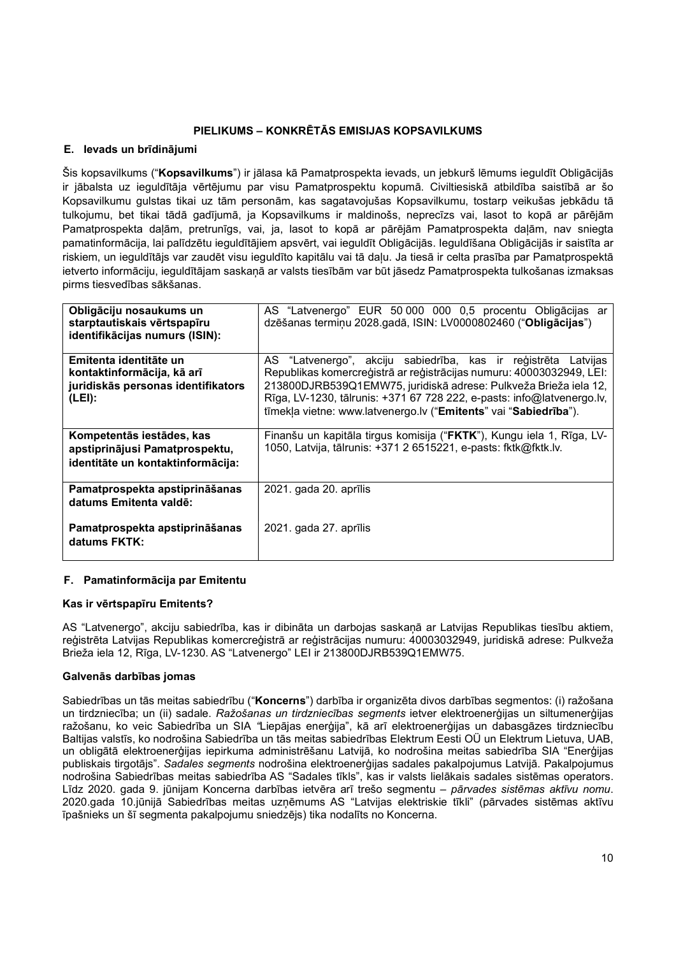# PIELIKUMS – KONKRĒTĀS EMISIJAS KOPSAVILKUMS

## E. Ievads un brīdinājumi

Šis kopsavilkums ("Kopsavilkums") ir jālasa kā Pamatprospekta ievads, un jebkurš lēmums ieguldīt Obligācijās ir jābalsta uz ieguldītāja vērtējumu par visu Pamatprospektu kopumā. Civiltiesiskā atbildība saistībā ar šo Kopsavilkumu gulstas tikai uz tām personām, kas sagatavojušas Kopsavilkumu, tostarp veikušas jebkādu tā tulkojumu, bet tikai tādā gadījumā, ja Kopsavilkums ir maldinošs, neprecīzs vai, lasot to kopā ar pārējām Pamatprospekta daļām, pretrunīgs, vai, ja, lasot to kopā ar pārējām Pamatprospekta daļām, nav sniegta pamatinformācija, lai palīdzētu ieguldītājiem apsvērt, vai ieguldīt Obligācijās. Ieguldīšana Obligācijās ir saistīta ar riskiem, un ieguldītājs var zaudēt visu ieguldīto kapitālu vai tā daļu. Ja tiesā ir celta prasība par Pamatprospektā ietverto informāciju, ieguldītājam saskaņā ar valsts tiesībām var būt jāsedz Pamatprospekta tulkošanas izmaksas pirms tiesvedības sākšanas.

| Obligāciju nosaukums un<br>starptautiskais vērtspapīru<br>identifikācijas numurs (ISIN):             | AS "Latvenergo" EUR 50 000 000 0,5 procentu Obligācijas ar<br>dzēšanas termiņu 2028.gadā, ISIN: LV0000802460 ("Obligācijas")                                                                                                                                                                                                                             |
|------------------------------------------------------------------------------------------------------|----------------------------------------------------------------------------------------------------------------------------------------------------------------------------------------------------------------------------------------------------------------------------------------------------------------------------------------------------------|
| Emitenta identitāte un<br>kontaktinformācija, kā arī<br>juridiskās personas identifikators<br>(LEI): | AS "Latvenergo", akciju sabiedrība, kas ir reģistrēta Latvijas<br>Republikas komercreģistrā ar reģistrācijas numuru: 40003032949, LEI:<br>213800DJRB539Q1EMW75, juridiskā adrese: Pulkveža Brieža iela 12,<br>Rīga, LV-1230, tālrunis: +371 67 728 222, e-pasts: info@latvenergo.lv,<br>tīmekļa vietne: www.latvenergo.lv ("Emitents" vai "Sabiedrība"). |
| Kompetentās iestādes, kas<br>apstiprinājusi Pamatprospektu,<br>identitāte un kontaktinformācija:     | Finanšu un kapitāla tirgus komisija ("FKTK"), Kungu iela 1, Rīga, LV-<br>1050, Latvija, tālrunis: +371 2 6515221, e-pasts: fktk@fktk.lv.                                                                                                                                                                                                                 |
| Pamatprospekta apstiprināšanas<br>datums Emitenta valdē:                                             | 2021. gada 20. aprīlis                                                                                                                                                                                                                                                                                                                                   |
| Pamatprospekta apstiprināšanas<br>datums FKTK:                                                       | 2021. gada 27. aprīlis                                                                                                                                                                                                                                                                                                                                   |

## F. Pamatinformācija par Emitentu

## Kas ir vērtspapīru Emitents?

AS "Latvenergo", akciju sabiedrība, kas ir dibināta un darbojas saskaņā ar Latvijas Republikas tiesību aktiem, reģistrēta Latvijas Republikas komercreģistrā ar reģistrācijas numuru: 40003032949, juridiskā adrese: Pulkveža Brieža iela 12, Rīga, LV-1230. AS "Latvenergo" LEI ir 213800DJRB539Q1EMW75.

## Galvenās darbības jomas

Sabiedrības un tās meitas sabiedrību ("Koncerns") darbība ir organizēta divos darbības segmentos: (i) ražošana un tirdzniecība; un (ii) sadale. Ražošanas un tirdzniecības segments ietver elektroenerģijas un siltumenerģijas ražošanu, ko veic Sabiedrība un SIA "Liepājas enerģija", kā arī elektroenerģijas un dabasgāzes tirdzniecību Baltijas valstīs, ko nodrošina Sabiedrība un tās meitas sabiedrības Elektrum Eesti OÜ un Elektrum Lietuva, UAB, un obligātā elektroenerģijas iepirkuma administrēšanu Latvijā, ko nodrošina meitas sabiedrība SIA "Enerģijas publiskais tirgotājs". Sadales segments nodrošina elektroenerģijas sadales pakalpojumus Latvijā. Pakalpojumus nodrošina Sabiedrības meitas sabiedrība AS "Sadales tīkls", kas ir valsts lielākais sadales sistēmas operators. Līdz 2020. gada 9. jūnijam Koncerna darbības ietvēra arī trešo segmentu - pārvades sistēmas aktīvu nomu. 2020.gada 10.jūnijā Sabiedrības meitas uzņēmums AS "Latvijas elektriskie tīkli" (pārvades sistēmas aktīvu īpašnieks un šī segmenta pakalpojumu sniedzējs) tika nodalīts no Koncerna.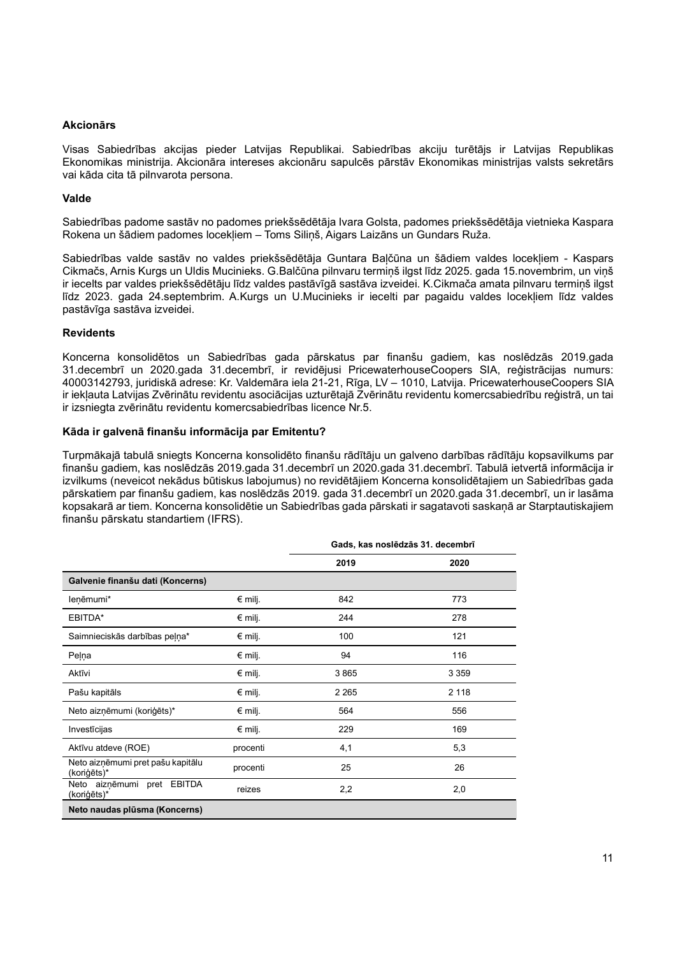## Akcionārs

Visas Sabiedrības akcijas pieder Latvijas Republikai. Sabiedrības akciju turētājs ir Latvijas Republikas Ekonomikas ministrija. Akcionāra intereses akcionāru sapulcēs pārstāv Ekonomikas ministrijas valsts sekretārs vai kāda cita tā pilnvarota persona.

## Valde

Sabiedrības padome sastāv no padomes priekšsēdētāja Ivara Golsta, padomes priekšsēdētāja vietnieka Kaspara Rokena un šādiem padomes locekļiem – Toms Siliņš, Aigars Laizāns un Gundars Ruža.

Sabiedrības valde sastāv no valdes priekšsēdētāja Guntara Baļčūna un šādiem valdes locekļiem - Kaspars Cikmačs, Arnis Kurgs un Uldis Mucinieks. G.Balčūna pilnvaru termiņš ilgst līdz 2025. gada 15.novembrim, un viņš ir iecelts par valdes priekšsēdētāju līdz valdes pastāvīgā sastāva izveidei. K.Cikmača amata pilnvaru termiņš ilgst līdz 2023. gada 24.septembrim. A.Kurgs un U.Mucinieks ir iecelti par pagaidu valdes locekļiem līdz valdes pastāvīga sastāva izveidei.

## Revidents

Koncerna konsolidētos un Sabiedrības gada pārskatus par finanšu gadiem, kas noslēdzās 2019.gada 31.decembrī un 2020.gada 31.decembrī, ir revidējusi PricewaterhouseCoopers SIA, reģistrācijas numurs: 40003142793, juridiskā adrese: Kr. Valdemāra iela 21-21, Rīga, LV – 1010, Latvija. PricewaterhouseCoopers SIA ir iekļauta Latvijas Zvērinātu revidentu asociācijas uzturētajā Zvērinātu revidentu komercsabiedrību reģistrā, un tai ir izsniegta zvērinātu revidentu komercsabiedrības licence Nr.5.

## Kāda ir galvenā finanšu informācija par Emitentu?

Turpmākajā tabulā sniegts Koncerna konsolidēto finanšu rādītāju un galveno darbības rādītāju kopsavilkums par finanšu gadiem, kas noslēdzās 2019.gada 31.decembrī un 2020.gada 31.decembrī. Tabulā ietvertā informācija ir izvilkums (neveicot nekādus būtiskus labojumus) no revidētājiem Koncerna konsolidētajiem un Sabiedrības gada pārskatiem par finanšu gadiem, kas noslēdzās 2019. gada 31.decembrī un 2020.gada 31.decembrī, un ir lasāma kopsakarā ar tiem. Koncerna konsolidētie un Sabiedrības gada pārskati ir sagatavoti saskaņā ar Starptautiskajiem finanšu pārskatu standartiem (IFRS).

|                                                  |                  | Gads, kas noslēdzās 31. decembrī |         |  |
|--------------------------------------------------|------------------|----------------------------------|---------|--|
|                                                  |                  | 2019                             | 2020    |  |
| Galvenie finanšu dati (Koncerns)                 |                  |                                  |         |  |
| leņēmumi*                                        | $€$ milj.        | 842                              | 773     |  |
| EBITDA*                                          | $€$ milj.        | 244                              | 278     |  |
| Saimnieciskās darbības peļņa*                    | $€$ milj.        | 100                              | 121     |  |
| Peļņa                                            | $€$ milj.        | 94                               | 116     |  |
| Aktīvi                                           | $\epsilon$ milj. | 3865                             | 3 3 5 9 |  |
| Pašu kapitāls                                    | € milj.          | 2 2 6 5                          | 2 1 1 8 |  |
| Neto aizņēmumi (koriģēts)*                       | $€$ milj.        | 564                              | 556     |  |
| Investīcijas                                     | $€$ milj.        | 229                              | 169     |  |
| Aktīvu atdeve (ROE)                              | procenti         | 4,1                              | 5,3     |  |
| Neto aizņēmumi pret pašu kapitālu<br>(koriģēts)* | procenti         | 25                               | 26      |  |
| Neto aiznēmumi pret EBITDA<br>(koriģēts)*        | reizes           | 2,2                              | 2,0     |  |
| Neto naudas plūsma (Koncerns)                    |                  |                                  |         |  |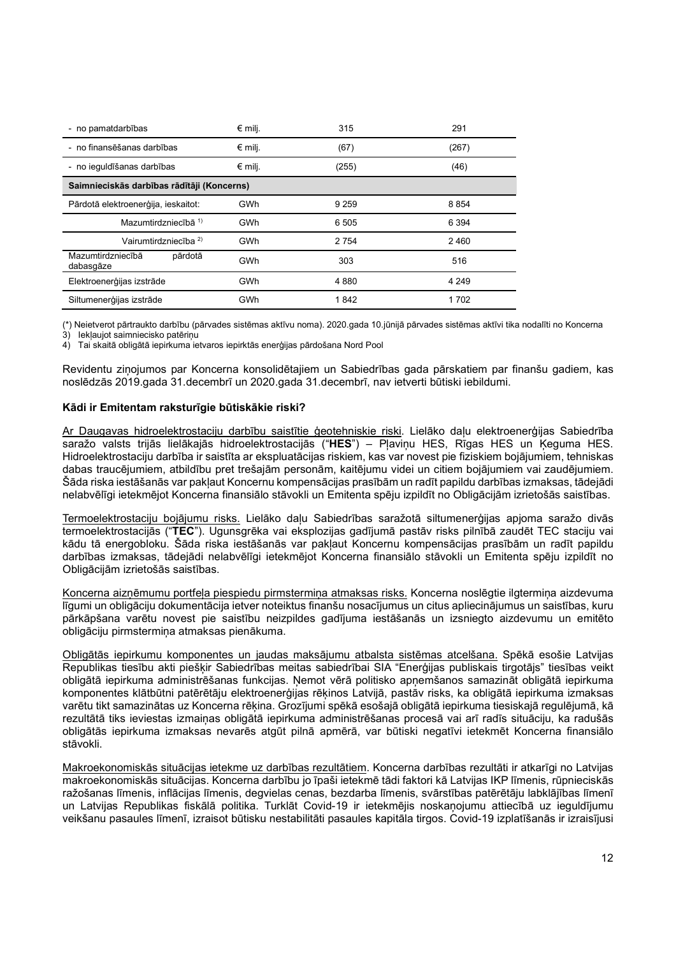| - no pamatdarbības                         | $€$ milj. | 315     | 291     |  |
|--------------------------------------------|-----------|---------|---------|--|
| - no finansēšanas darbības                 | $€$ milj. | (67)    | (267)   |  |
| - no ieguldīšanas darbības                 | $€$ milj. | (255)   | (46)    |  |
| Saimnieciskās darbības rādītāji (Koncerns) |           |         |         |  |
| Pārdotā elektroenerģija, ieskaitot:        | GWh       | 9 2 5 9 | 8854    |  |
| Mazumtirdzniecībā 1)                       | GWh       | 6 5 0 5 | 6 3 9 4 |  |
| Vairumtirdzniecība <sup>2)</sup>           | GWh       | 2 7 5 4 | 2460    |  |
| Mazumtirdzniecībā<br>pārdotā<br>dabasgāze  | GWh       | 303     | 516     |  |
| Elektroenerģijas izstrāde                  | GWh       | 4880    | 4 2 4 9 |  |
| Siltumenerģijas izstrāde                   | GWh       | 1842    | 1702    |  |

(\*) Neietverot pārtraukto darbību (pārvades sistēmas aktīvu noma). 2020.gada 10.jūnijā pārvades sistēmas aktīvi tika nodalīti no Koncerna

 $3$ ) lekļaujot saimniecisko patērinu

4) Tai skaitā obligātā iepirkuma ietvaros iepirktās enerģijas pārdošana Nord Pool

Revidentu ziņojumos par Koncerna konsolidētajiem un Sabiedrības gada pārskatiem par finanšu gadiem, kas noslēdzās 2019.gada 31.decembrī un 2020.gada 31.decembrī, nav ietverti būtiski iebildumi.

## Kādi ir Emitentam raksturīgie būtiskākie riski?

Ar Daugavas hidroelektrostaciju darbību saistītie ģeotehniskie riski. Lielāko daļu elektroenerģijas Sabiedrība saražo valsts trijās lielākajās hidroelektrostacijās ("HES") – Pļaviņu HES, Rīgas HES un Ķeguma HES. Hidroelektrostaciju darbība ir saistīta ar ekspluatācijas riskiem, kas var novest pie fiziskiem bojājumiem, tehniskas dabas traucējumiem, atbildību pret trešajām personām, kaitējumu videi un citiem bojājumiem vai zaudējumiem. Šāda riska iestāšanās var pakļaut Koncernu kompensācijas prasībām un radīt papildu darbības izmaksas, tādejādi nelabvēlīgi ietekmējot Koncerna finansiālo stāvokli un Emitenta spēju izpildīt no Obligācijām izrietošās saistības.

Termoelektrostaciju bojājumu risks. Lielāko daļu Sabiedrības saražotā siltumenerģijas apjoma saražo divās termoelektrostacijās ("TEC"). Ugunsgrēka vai eksplozijas gadījumā pastāv risks pilnībā zaudēt TEC staciju vai kādu tā energobloku. Šāda riska iestāšanās var pakļaut Koncernu kompensācijas prasībām un radīt papildu darbības izmaksas, tādejādi nelabvēlīgi ietekmējot Koncerna finansiālo stāvokli un Emitenta spēju izpildīt no Obligācijām izrietošās saistības.

Koncerna aizņēmumu portfeļa piespiedu pirmstermiņa atmaksas risks. Koncerna noslēgtie ilgtermiņa aizdevuma līgumi un obligāciju dokumentācija ietver noteiktus finanšu nosacījumus un citus apliecinājumus un saistības, kuru pārkāpšana varētu novest pie saistību neizpildes gadījuma iestāšanās un izsniegto aizdevumu un emitēto obligāciju pirmstermiņa atmaksas pienākuma.

Obligātās iepirkumu komponentes un jaudas maksājumu atbalsta sistēmas atcelšana. Spēkā esošie Latvijas Republikas tiesību akti piešķir Sabiedrības meitas sabiedrībai SIA "Enerģijas publiskais tirgotājs" tiesības veikt obligātā iepirkuma administrēšanas funkcijas. Ņemot vērā politisko apņemšanos samazināt obligātā iepirkuma komponentes klātbūtni patērētāju elektroenerģijas rēķinos Latvijā, pastāv risks, ka obligātā iepirkuma izmaksas varētu tikt samazinātas uz Koncerna rēķina. Grozījumi spēkā esošajā obligātā iepirkuma tiesiskajā regulējumā, kā rezultātā tiks ieviestas izmaiņas obligātā iepirkuma administrēšanas procesā vai arī radīs situāciju, ka radušās obligātās iepirkuma izmaksas nevarēs atgūt pilnā apmērā, var būtiski negatīvi ietekmēt Koncerna finansiālo stāvokli.

Makroekonomiskās situācijas ietekme uz darbības rezultātiem. Koncerna darbības rezultāti ir atkarīgi no Latvijas makroekonomiskās situācijas. Koncerna darbību jo īpaši ietekmē tādi faktori kā Latvijas IKP līmenis, rūpnieciskās ražošanas līmenis, inflācijas līmenis, degvielas cenas, bezdarba līmenis, svārstības patērētāju labklājības līmenī un Latvijas Republikas fiskālā politika. Turklāt Covid-19 ir ietekmējis noskaņojumu attiecībā uz ieguldījumu veikšanu pasaules līmenī, izraisot būtisku nestabilitāti pasaules kapitāla tirgos. Covid-19 izplatīšanās ir izraisījusi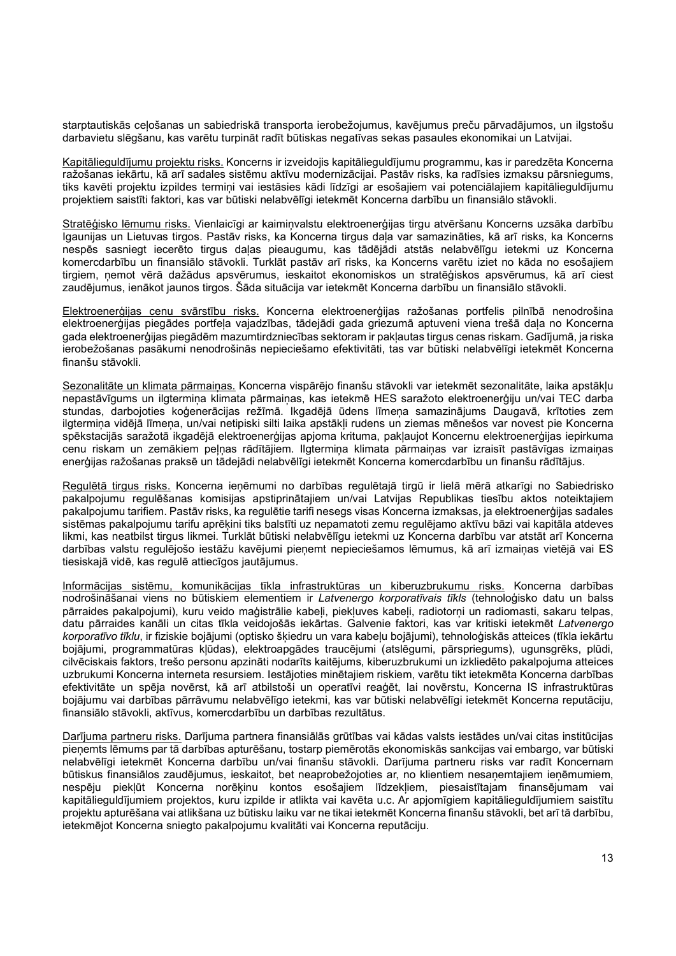starptautiskās ceļošanas un sabiedriskā transporta ierobežojumus, kavējumus preču pārvadājumos, un ilgstošu darbavietu slēgšanu, kas varētu turpināt radīt būtiskas negatīvas sekas pasaules ekonomikai un Latvijai.

Kapitālieguldījumu projektu risks. Koncerns ir izveidojis kapitālieguldījumu programmu, kas ir paredzēta Koncerna ražošanas iekārtu, kā arī sadales sistēmu aktīvu modernizācijai. Pastāv risks, ka radīsies izmaksu pārsniegums, tiks kavēti projektu izpildes termini vai iestāsies kādi līdzīgi ar esošajiem vai potenciālajiem kapitālieguldījumu projektiem saistīti faktori, kas var būtiski nelabvēlīgi ietekmēt Koncerna darbību un finansiālo stāvokli.

Stratēģisko lēmumu risks. Vienlaicīgi ar kaimiņvalstu elektroenerģijas tirgu atvēršanu Koncerns uzsāka darbību Igaunijas un Lietuvas tirgos. Pastāv risks, ka Koncerna tirgus daļa var samazināties, kā arī risks, ka Koncerns nespēs sasniegt iecerēto tirgus daļas pieaugumu, kas tādējādi atstās nelabvēlīgu ietekmi uz Koncerna komercdarbību un finansiālo stāvokli. Turklāt pastāv arī risks, ka Koncerns varētu iziet no kāda no esošajiem tirgiem, ņemot vērā dažādus apsvērumus, ieskaitot ekonomiskos un stratēģiskos apsvērumus, kā arī ciest zaudējumus, ienākot jaunos tirgos. Šāda situācija var ietekmēt Koncerna darbību un finansiālo stāvokli.

Elektroenerģijas cenu svārstību risks. Koncerna elektroenerģijas ražošanas portfelis pilnībā nenodrošina elektroenerģijas piegādes portfeļa vajadzības, tādejādi gada griezumā aptuveni viena trešā daļa no Koncerna gada elektroenerģijas piegādēm mazumtirdzniecības sektoram ir pakļautas tirgus cenas riskam. Gadījumā, ja riska ierobežošanas pasākumi nenodrošinās nepieciešamo efektivitāti, tas var būtiski nelabvēlīgi ietekmēt Koncerna finanšu stāvokli.

Sezonalitāte un klimata pārmainas. Koncerna vispārējo finanšu stāvokli var ietekmēt sezonalitāte, laika apstākļu nepastāvīgums un ilgtermiņa klimata pārmaiņas, kas ietekmē HES saražoto elektroenerģiju un/vai TEC darba stundas, darbojoties koģenerācijas režīmā. Ikgadējā ūdens līmeņa samazinājums Daugavā, krītoties zem ilgtermiņa vidējā līmeņa, un/vai netipiski silti laika apstākļi rudens un ziemas mēnešos var novest pie Koncerna spēkstacijās saražotā ikgadējā elektroenerģijas apjoma krituma, pakļaujot Koncernu elektroenerģijas iepirkuma cenu riskam un zemākiem peļņas rādītājiem. Ilgtermiņa klimata pārmaiņas var izraisīt pastāvīgas izmaiņas enerģijas ražošanas praksē un tādejādi nelabvēlīgi ietekmēt Koncerna komercdarbību un finanšu rādītājus.

Regulētā tirgus risks. Koncerna ieņēmumi no darbības regulētajā tirgū ir lielā mērā atkarīgi no Sabiedrisko pakalpojumu regulēšanas komisijas apstiprinātajiem un/vai Latvijas Republikas tiesību aktos noteiktajiem pakalpojumu tarifiem. Pastāv risks, ka regulētie tarifi nesegs visas Koncerna izmaksas, ja elektroenerģijas sadales sistēmas pakalpojumu tarifu aprēķini tiks balstīti uz nepamatoti zemu regulējamo aktīvu bāzi vai kapitāla atdeves likmi, kas neatbilst tirgus likmei. Turklāt būtiski nelabvēlīgu ietekmi uz Koncerna darbību var atstāt arī Koncerna darbības valstu regulējošo iestāžu kavējumi pieņemt nepieciešamos lēmumus, kā arī izmaiņas vietējā vai ES tiesiskajā vidē, kas regulē attiecīgos jautājumus.

Informācijas sistēmu, komunikācijas tīkla infrastruktūras un kiberuzbrukumu risks. Koncerna darbības nodrošināšanai viens no būtiskiem elementiem ir Latvenergo korporatīvais tīkls (tehnoloģisko datu un balss pārraides pakalpojumi), kuru veido maģistrālie kabeli, piekļuves kabeli, radiotorni un radiomasti, sakaru telpas, datu pārraides kanāli un citas tīkla veidojošās iekārtas. Galvenie faktori, kas var kritiski ietekmēt Latvenergo korporatīvo tīklu, ir fiziskie bojājumi (optisko škiedru un vara kabelu bojājumi), tehnoloģiskās atteices (tīkla iekārtu bojājumi, programmatūras kļūdas), elektroapgādes traucējumi (atslēgumi, pārspriegums), ugunsgrēks, plūdi, cilvēciskais faktors, trešo personu apzināti nodarīts kaitējums, kiberuzbrukumi un izkliedēto pakalpojuma atteices uzbrukumi Koncerna interneta resursiem. Iestājoties minētajiem riskiem, varētu tikt ietekmēta Koncerna darbības efektivitāte un spēja novērst, kā arī atbilstoši un operatīvi reaģēt, lai novērstu, Koncerna IS infrastruktūras bojājumu vai darbības pārrāvumu nelabvēlīgo ietekmi, kas var būtiski nelabvēlīgi ietekmēt Koncerna reputāciju, finansiālo stāvokli, aktīvus, komercdarbību un darbības rezultātus.

Darījuma partneru risks. Darījuma partnera finansiālās grūtības vai kādas valsts iestādes un/vai citas institūcijas pieņemts lēmums par tā darbības apturēšanu, tostarp piemērotās ekonomiskās sankcijas vai embargo, var būtiski nelabvēlīgi ietekmēt Koncerna darbību un/vai finanšu stāvokli. Darījuma partneru risks var radīt Koncernam būtiskus finansiālos zaudējumus, ieskaitot, bet neaprobežojoties ar, no klientiem nesaņemtajiem ieņēmumiem, nespēju piekļūt Koncerna norēķinu kontos esošajiem līdzekļiem, piesaistītajam finansējumam vai kapitālieguldījumiem projektos, kuru izpilde ir atlikta vai kavēta u.c. Ar apjomīgiem kapitālieguldījumiem saistītu projektu apturēšana vai atlikšana uz būtisku laiku var ne tikai ietekmēt Koncerna finanšu stāvokli, bet arī tā darbību, ietekmējot Koncerna sniegto pakalpojumu kvalitāti vai Koncerna reputāciju.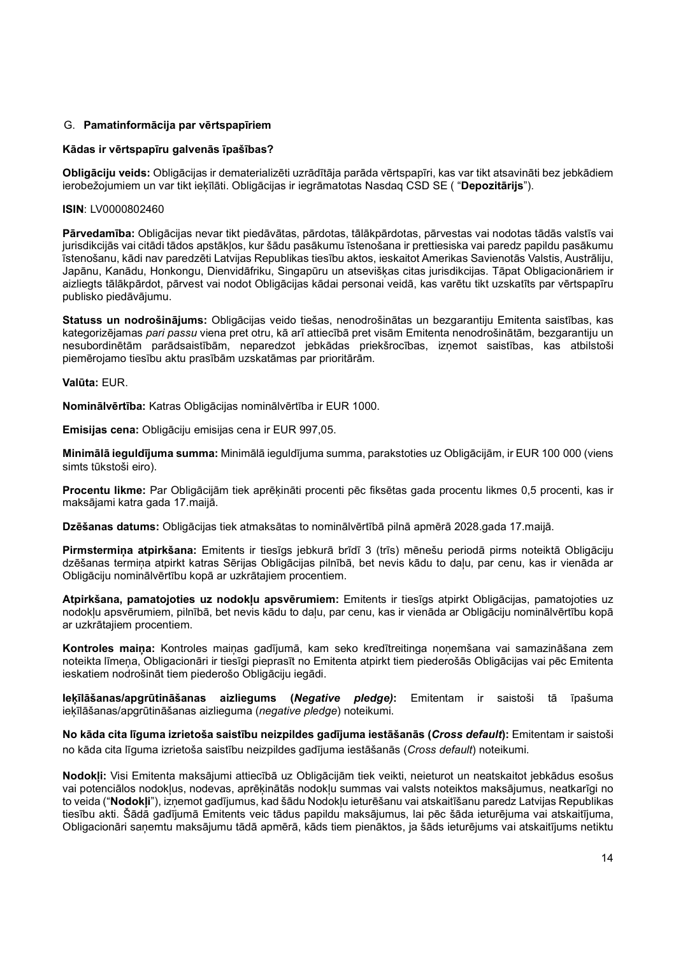## G. Pamatinformācija par vērtspapīriem

## Kādas ir vērtspapīru galvenās īpašības?

Obligāciju veids: Obligācijas ir dematerializēti uzrādītāja parāda vērtspapīri, kas var tikt atsavināti bez jebkādiem ierobežojumiem un var tikt iekīlāti. Obligācijas ir iegrāmatotas Nasdaq CSD SE ("Depozitārijs").

### ISIN: LV0000802460

Pārvedamība: Obligācijas nevar tikt piedāvātas, pārdotas, tālākpārdotas, pārvestas vai nodotas tādās valstīs vai jurisdikcijās vai citādi tādos apstākļos, kur šādu pasākumu īstenošana ir prettiesiska vai paredz papildu pasākumu īstenošanu, kādi nav paredzēti Latvijas Republikas tiesību aktos, ieskaitot Amerikas Savienotās Valstis, Austrāliju, Japānu, Kanādu, Honkongu, Dienvidāfriku, Singapūru un atsevišķas citas jurisdikcijas. Tāpat Obligacionāriem ir aizliegts tālākpārdot, pārvest vai nodot Obligācijas kādai personai veidā, kas varētu tikt uzskatīts par vērtspapīru publisko piedāvājumu.

Statuss un nodrošinājums: Obligācijas veido tiešas, nenodrošinātas un bezgarantiju Emitenta saistības, kas kategorizējamas pari passu viena pret otru, kā arī attiecībā pret visām Emitenta nenodrošinātām, bezgarantiju un nesubordinētām parādsaistībām, neparedzot jebkādas priekšrocības, izņemot saistības, kas atbilstoši piemērojamo tiesību aktu prasībām uzskatāmas par prioritārām.

Valūta: EUR.

Nominālvērtība: Katras Obligācijas nominālvērtība ir EUR 1000.

Emisijas cena: Obligāciju emisijas cena ir EUR 997,05.

Minimālā ieguldījuma summa: Minimālā ieguldījuma summa, parakstoties uz Obligācijām, ir EUR 100 000 (viens simts tūkstoši eiro).

Procentu likme: Par Obligācijām tiek aprēķināti procenti pēc fiksētas gada procentu likmes 0,5 procenti, kas ir maksājami katra gada 17.maijā.

Dzēšanas datums: Obligācijas tiek atmaksātas to nominālvērtībā pilnā apmērā 2028.gada 17.maijā.

Pirmstermiņa atpirkšana: Emitents ir tiesīgs jebkurā brīdī 3 (trīs) mēnešu periodā pirms noteiktā Obligāciju dzēšanas termiņa atpirkt katras Sērijas Obligācijas pilnībā, bet nevis kādu to daļu, par cenu, kas ir vienāda ar Obligāciju nominālvērtību kopā ar uzkrātajiem procentiem.

Atpirkšana, pamatojoties uz nodokļu apsvērumiem: Emitents ir tiesīgs atpirkt Obligācijas, pamatojoties uz nodokļu apsvērumiem, pilnībā, bet nevis kādu to daļu, par cenu, kas ir vienāda ar Obligāciju nominālvērtību kopā ar uzkrātajiem procentiem.

Kontroles maiņa: Kontroles maiņas gadījumā, kam seko kredītreitinga noņemšana vai samazināšana zem noteikta līmeņa, Obligacionāri ir tiesīgi pieprasīt no Emitenta atpirkt tiem piederošās Obligācijas vai pēc Emitenta ieskatiem nodrošināt tiem piederošo Obligāciju iegādi.

**Ieķīlāšanas/apgrūtināšanas aizliegums (Negative pledge):** Emitentam ir saistoši tā īpašuma ieķīlāšanas/apgrūtināšanas aizlieguma (negative pledge) noteikumi.

No kāda cita līguma izrietoša saistību neizpildes gadījuma iestāšanās (Cross default): Emitentam ir saistoši no kāda cita līguma izrietoša saistību neizpildes gadījuma iestāšanās (Cross default) noteikumi.

Nodokļi: Visi Emitenta maksājumi attiecībā uz Obligācijām tiek veikti, neieturot un neatskaitot jebkādus esošus vai potenciālos nodokļus, nodevas, aprēķinātās nodokļu summas vai valsts noteiktos maksājumus, neatkarīgi no to veida ("Nodokļi"), izņemot gadījumus, kad šādu Nodokļu ieturēšanu vai atskaitīšanu paredz Latvijas Republikas tiesību akti. Šādā gadījumā Emitents veic tādus papildu maksājumus, lai pēc šāda ieturējuma vai atskaitījuma, Obligacionāri saņemtu maksājumu tādā apmērā, kāds tiem pienāktos, ja šāds ieturējums vai atskaitījums netiktu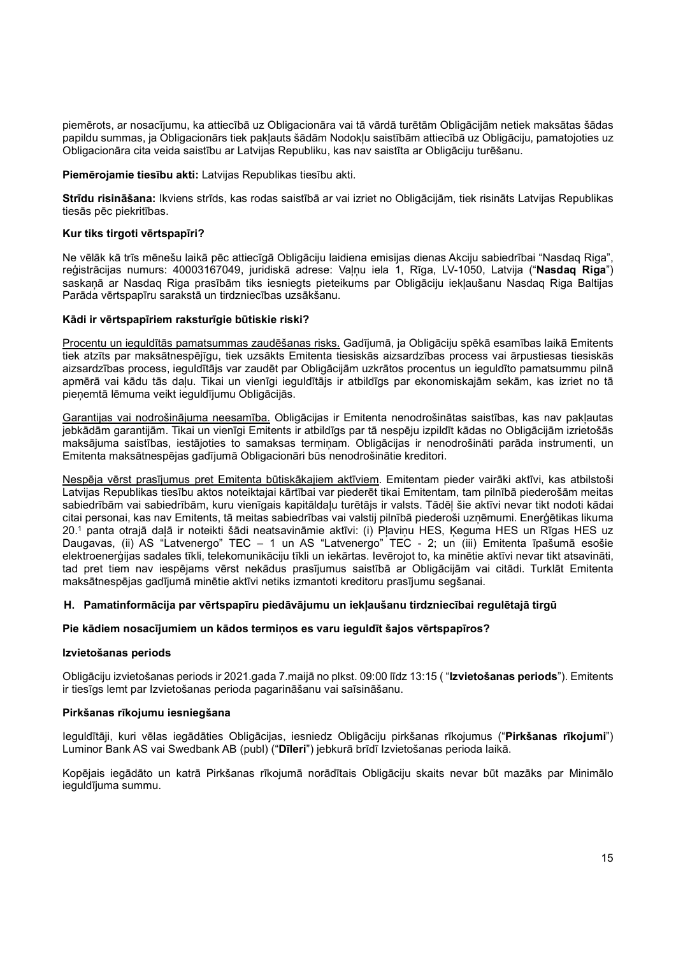piemērots, ar nosacījumu, ka attiecībā uz Obligacionāra vai tā vārdā turētām Obligācijām netiek maksātas šādas papildu summas, ja Obligacionārs tiek pakļauts šādām Nodokļu saistībām attiecībā uz Obligāciju, pamatojoties uz Obligacionāra cita veida saistību ar Latvijas Republiku, kas nav saistīta ar Obligāciju turēšanu.

Piemērojamie tiesību akti: Latvijas Republikas tiesību akti.

Strīdu risināšana: Ikviens strīds, kas rodas saistībā ar vai izriet no Obligācijām, tiek risināts Latvijas Republikas tiesās pēc piekritības.

### Kur tiks tirgoti vērtspapīri?

Ne vēlāk kā trīs mēnešu laikā pēc attiecīgā Obligāciju laidiena emisijas dienas Akciju sabiedrībai "Nasdaq Riga", reģistrācijas numurs: 40003167049, juridiskā adrese: Valnu iela 1, Rīga, LV-1050, Latvija ("Nasdag Riga") saskaņā ar Nasdaq Riga prasībām tiks iesniegts pieteikums par Obligāciju iekļaušanu Nasdaq Riga Baltijas Parāda vērtspapīru sarakstā un tirdzniecības uzsākšanu.

### Kādi ir vērtspapīriem raksturīgie būtiskie riski?

Procentu un ieguldītās pamatsummas zaudēšanas risks. Gadījumā, ja Obligāciju spēkā esamības laikā Emitents tiek atzīts par maksātnespējīgu, tiek uzsākts Emitenta tiesiskās aizsardzības process vai ārpustiesas tiesiskās aizsardzības process, ieguldītājs var zaudēt par Obligācijām uzkrātos procentus un ieguldīto pamatsummu pilnā apmērā vai kādu tās daļu. Tikai un vienīgi ieguldītājs ir atbildīgs par ekonomiskajām sekām, kas izriet no tā pieņemtā lēmuma veikt ieguldījumu Obligācijās.

Garantijas vai nodrošinājuma neesamība. Obligācijas ir Emitenta nenodrošinātas saistības, kas nav pakļautas jebkādām garantijām. Tikai un vienīgi Emitents ir atbildīgs par tā nespēju izpildīt kādas no Obligācijām izrietošās maksājuma saistības, iestājoties to samaksas termiņam. Obligācijas ir nenodrošināti parāda instrumenti, un Emitenta maksātnespējas gadījumā Obligacionāri būs nenodrošinātie kreditori.

Nespēja vērst prasījumus pret Emitenta būtiskākajiem aktīviem. Emitentam pieder vairāki aktīvi, kas atbilstoši Latvijas Republikas tiesību aktos noteiktajai kārtībai var piederēt tikai Emitentam, tam pilnībā piederošām meitas sabiedrībām vai sabiedrībām, kuru vienīgais kapitāldaļu turētājs ir valsts. Tādēļ šie aktīvi nevar tikt nodoti kādai citai personai, kas nav Emitents, tā meitas sabiedrības vai valstij pilnībā piederoši uzņēmumi. Enerģētikas likuma 20.<sup>1</sup> panta otrajā daļā ir noteikti šādi neatsavināmie aktīvi: (i) Pļaviņu HES, Ķeguma HES un Rīgas HES uz Daugavas, (ii) AS "Latvenergo" TEC – 1 un AS "Latvenergo" TEC - 2; un (iii) Emitenta īpašumā esošie elektroenerģijas sadales tīkli, telekomunikāciju tīkli un iekārtas. Ievērojot to, ka minētie aktīvi nevar tikt atsavināti, tad pret tiem nav iespējams vērst nekādus prasījumus saistībā ar Obligācijām vai citādi. Turklāt Emitenta maksātnespējas gadījumā minētie aktīvi netiks izmantoti kreditoru prasījumu segšanai.

#### H. Pamatinformācija par vērtspapīru piedāvājumu un iekļaušanu tirdzniecībai regulētajā tirgū

### Pie kādiem nosacījumiem un kādos termiņos es varu ieguldīt šajos vērtspapīros?

#### Izvietošanas periods

Obligāciju izvietošanas periods ir 2021.gada 7.maijā no plkst. 09:00 līdz 13:15 ( "Izvietošanas periods"). Emitents ir tiesīgs lemt par Izvietošanas perioda pagarināšanu vai saīsināšanu.

### Pirkšanas rīkojumu iesniegšana

Ieguldītāji, kuri vēlas iegādāties Obligācijas, iesniedz Obligāciju pirkšanas rīkojumus ("Pirkšanas rīkojumi") Luminor Bank AS vai Swedbank AB (publ) ("Dīleri") jebkurā brīdī Izvietošanas perioda laikā.

Kopējais iegādāto un katrā Pirkšanas rīkojumā norādītais Obligāciju skaits nevar būt mazāks par Minimālo ieguldījuma summu.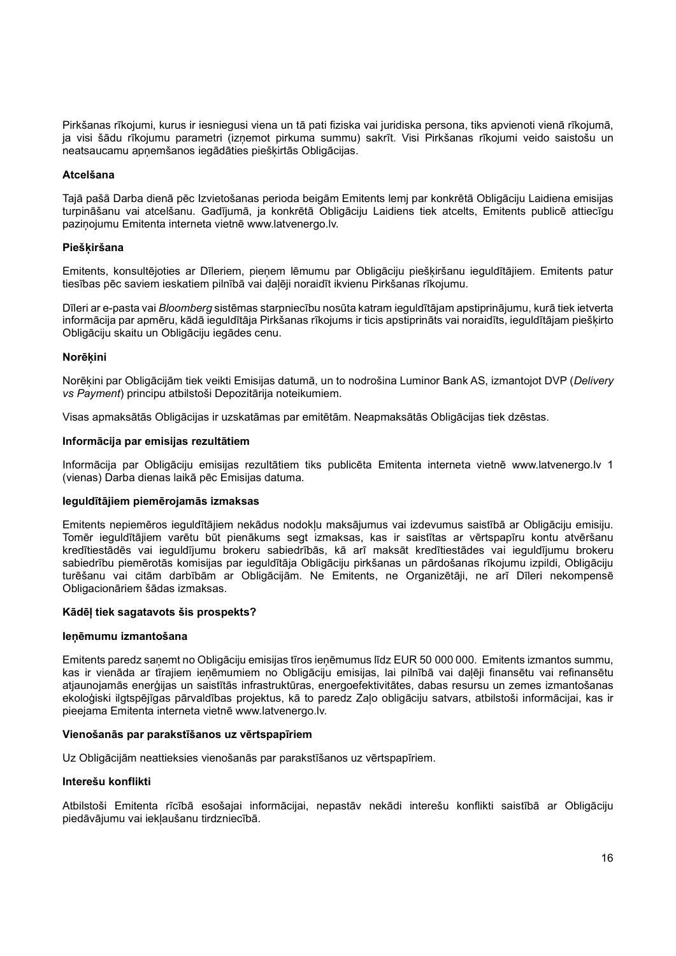Pirkšanas rīkojumi, kurus ir iesniegusi viena un tā pati fiziska vai juridiska persona, tiks apvienoti vienā rīkojumā, ja visi šādu rīkojumu parametri (izņemot pirkuma summu) sakrīt. Visi Pirkšanas rīkojumi veido saistošu un neatsaucamu apņemšanos iegādāties piešķirtās Obligācijas.

## Atcelšana

Tajā pašā Darba dienā pēc Izvietošanas perioda beigām Emitents lemj par konkrētā Obligāciju Laidiena emisijas turpināšanu vai atcelšanu. Gadījumā, ja konkrētā Obligāciju Laidiens tiek atcelts, Emitents publicē attiecīgu paziņojumu Emitenta interneta vietnē www.latvenergo.lv.

### **Pieškiršana**

Emitents, konsultējoties ar Dīleriem, pieņem lēmumu par Obligāciju piešķiršanu ieguldītājiem. Emitents patur tiesības pēc saviem ieskatiem pilnībā vai daļēji noraidīt ikvienu Pirkšanas rīkojumu.

Dīleri ar e-pasta vai Bloomberg sistēmas starpniecību nosūta katram ieguldītājam apstiprinājumu, kurā tiek ietverta informācija par apmēru, kādā ieguldītāja Pirkšanas rīkojums ir ticis apstiprināts vai noraidīts, ieguldītājam piešķirto Obligāciju skaitu un Obligāciju iegādes cenu.

### **Norēkini**

Norēķini par Obligācijām tiek veikti Emisijas datumā, un to nodrošina Luminor Bank AS, izmantojot DVP (Delivery vs Payment) principu atbilstoši Depozitārija noteikumiem.

Visas apmaksātās Obligācijas ir uzskatāmas par emitētām. Neapmaksātās Obligācijas tiek dzēstas.

### Informācija par emisijas rezultātiem

Informācija par Obligāciju emisijas rezultātiem tiks publicēta Emitenta interneta vietnē www.latvenergo.lv 1 (vienas) Darba dienas laikā pēc Emisijas datuma.

#### Ieguldītājiem piemērojamās izmaksas

Emitents nepiemēros ieguldītājiem nekādus nodokļu maksājumus vai izdevumus saistībā ar Obligāciju emisiju. Tomēr ieguldītājiem varētu būt pienākums segt izmaksas, kas ir saistītas ar vērtspapīru kontu atvēršanu kredītiestādēs vai ieguldījumu brokeru sabiedrībās, kā arī maksāt kredītiestādes vai ieguldījumu brokeru sabiedrību piemērotās komisijas par ieguldītāja Obligāciju pirkšanas un pārdošanas rīkojumu izpildi, Obligāciju turēšanu vai citām darbībām ar Obligācijām. Ne Emitents, ne Organizētāji, ne arī Dīleri nekompensē Obligacionāriem šādas izmaksas.

## Kādēļ tiek sagatavots šis prospekts?

#### Ieņēmumu izmantošana

Emitents paredz saņemt no Obligāciju emisijas tīros ieņēmumus līdz EUR 50 000 000. Emitents izmantos summu, kas ir vienāda ar tīrajiem ieņēmumiem no Obligāciju emisijas, lai pilnībā vai daļēji finansētu vai refinansētu atjaunojamās enerģijas un saistītās infrastruktūras, energoefektivitātes, dabas resursu un zemes izmantošanas ekoloģiski ilgtspējīgas pārvaldības projektus, kā to paredz Zaļo obligāciju satvars, atbilstoši informācijai, kas ir pieejama Emitenta interneta vietnē www.latvenergo.lv.

## Vienošanās par parakstīšanos uz vērtspapīriem

Uz Obligācijām neattieksies vienošanās par parakstīšanos uz vērtspapīriem.

#### Interešu konflikti

Atbilstoši Emitenta rīcībā esošajai informācijai, nepastāv nekādi interešu konflikti saistībā ar Obligāciju piedāvājumu vai iekļaušanu tirdzniecībā.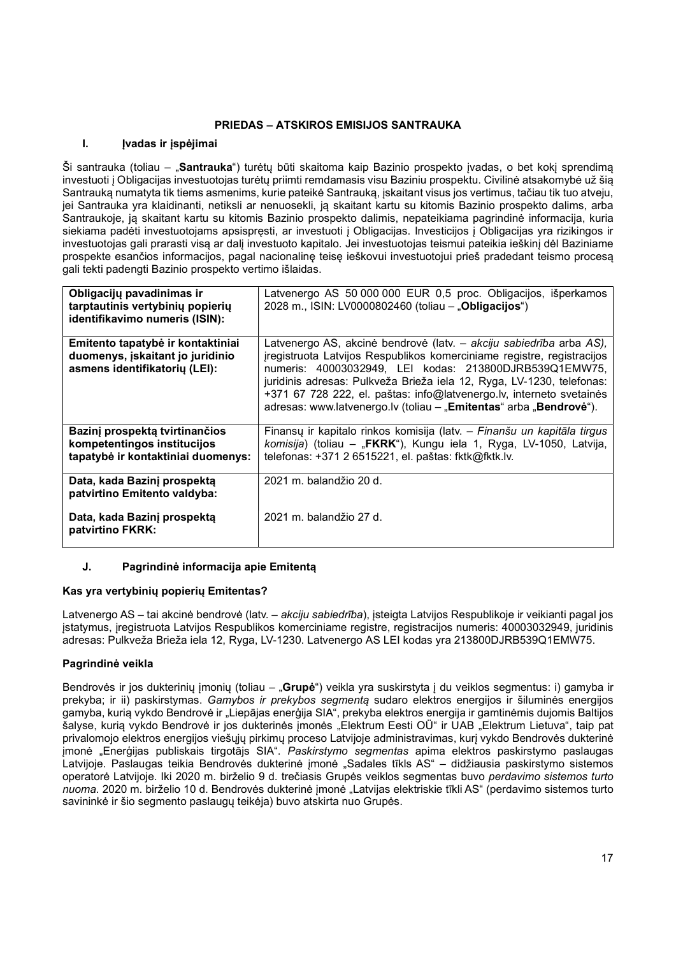# PRIEDAS – ATSKIROS EMISIJOS SANTRAUKA

# I. **Ivadas ir įspėjimai**

Ši santrauka (toliau – "Santrauka") turėtų būti skaitoma kaip Bazinio prospekto įvadas, o bet kokį sprendimą investuoti į Obligacijas investuotojas turėtų priimti remdamasis visu Baziniu prospektu. Civilinė atsakomybė už šią Santrauką numatyta tik tiems asmenims, kurie pateikė Santrauką, įskaitant visus jos vertimus, tačiau tik tuo atveju, jei Santrauka yra klaidinanti, netiksli ar nenuosekli, ją skaitant kartu su kitomis Bazinio prospekto dalims, arba Santraukoje, ją skaitant kartu su kitomis Bazinio prospekto dalimis, nepateikiama pagrindinė informacija, kuria siekiama padėti investuotojams apsispręsti, ar investuoti į Obligacijas. Investicijos į Obligacijas yra rizikingos ir investuotojas gali prarasti visą ar dalį investuoto kapitalo. Jei investuotojas teismui pateikia ieškinį dėl Baziniame prospekte esančios informacijos, pagal nacionalinę teisę ieškovui investuotojui prieš pradedant teismo procesą gali tekti padengti Bazinio prospekto vertimo išlaidas.

| Obligacijų pavadinimas ir<br>tarptautinis vertybinių popierių<br>identifikavimo numeris (ISIN):                | Latvenergo AS 50 000 000 EUR 0,5 proc. Obligacijos, išperkamos<br>2028 m., ISIN: LV0000802460 (toliau - "Obligacijos")                                                                                                                                                                                                                                                                                                         |
|----------------------------------------------------------------------------------------------------------------|--------------------------------------------------------------------------------------------------------------------------------------------------------------------------------------------------------------------------------------------------------------------------------------------------------------------------------------------------------------------------------------------------------------------------------|
| Emitento tapatybė ir kontaktiniai<br>duomenys, įskaitant jo juridinio<br>asmens identifikatorių (LEI):         | Latvenergo AS, akcinė bendrovė (latv. – akciju sabiedrība arba AS),<br>jregistruota Latvijos Respublikos komerciniame registre, registracijos<br>numeris: 40003032949, LEI kodas: 213800DJRB539Q1EMW75,<br>juridinis adresas: Pulkveža Brieža iela 12, Ryga, LV-1230, telefonas:<br>+371 67 728 222, el. paštas: info@latvenergo.lv, interneto svetainės<br>adresas: www.latvenergo.lv (toliau - "Emitentas" arba "Bendrovė"). |
| Bazinį prospektą tvirtinančios<br>kompetentingos institucijos<br>tapatybė ir kontaktiniai duomenys:            | Finansų ir kapitalo rinkos komisija (latv. - Finanšu un kapitāla tirgus<br>komisija) (toliau – "FKRK"), Kungu iela 1, Ryga, LV-1050, Latvija,<br>telefonas: +371 2 6515221, el. paštas: fktk@fktk.lv.                                                                                                                                                                                                                          |
| Data, kada Bazinj prospekta<br>patvirtino Emitento valdyba:<br>Data, kada Bazinj prospekta<br>patvirtino FKRK: | 2021 m. balandžio 20 d.<br>2021 m. balandžio 27 d.                                                                                                                                                                                                                                                                                                                                                                             |

# J. Pagrindinė informacija apie Emitentą

# Kas yra vertybinių popierių Emitentas?

Latvenergo AS – tai akcinė bendrovė (latv. – akciju sabiedrība), įsteigta Latvijos Respublikoje ir veikianti pagal jos įstatymus, įregistruota Latvijos Respublikos komerciniame registre, registracijos numeris: 40003032949, juridinis adresas: Pulkveža Brieža iela 12, Ryga, LV-1230. Latvenergo AS LEI kodas yra 213800DJRB539Q1EMW75.

# Pagrindinė veikla

Bendrovės ir jos dukterinių įmonių (toliau – "Grupė") veikla yra suskirstyta į du veiklos segmentus: i) gamyba ir prekyba; ir ii) paskirstymas. Gamybos ir prekybos segmentą sudaro elektros energijos ir šiluminės energijos gamyba, kurią vykdo Bendrovė ir "Liepājas enerģija SIA", prekyba elektros energija ir gamtinėmis dujomis Baltijos šalyse, kurią vykdo Bendrovė ir jos dukterinės įmonės "Elektrum Eesti OÜ" ir UAB "Elektrum Lietuva", taip pat privalomojo elektros energijos viešųjų pirkimų proceso Latvijoje administravimas, kurį vykdo Bendrovės dukterinė įmonė "Enerģijas publiskais tirgotājs SIA". Paskirstymo segmentas apima elektros paskirstymo paslaugas Latvijoje. Paslaugas teikia Bendrovės dukterinė įmonė "Sadales tīkls AS" – didžiausia paskirstymo sistemos operatorė Latvijoje. Iki 2020 m. birželio 9 d. trečiasis Grupės veiklos segmentas buvo perdavimo sistemos turto nuoma. 2020 m. birželio 10 d. Bendrovės dukterinė įmonė "Latvijas elektriskie tīkli AS" (perdavimo sistemos turto savininkė ir šio segmento paslaugų teikėja) buvo atskirta nuo Grupės.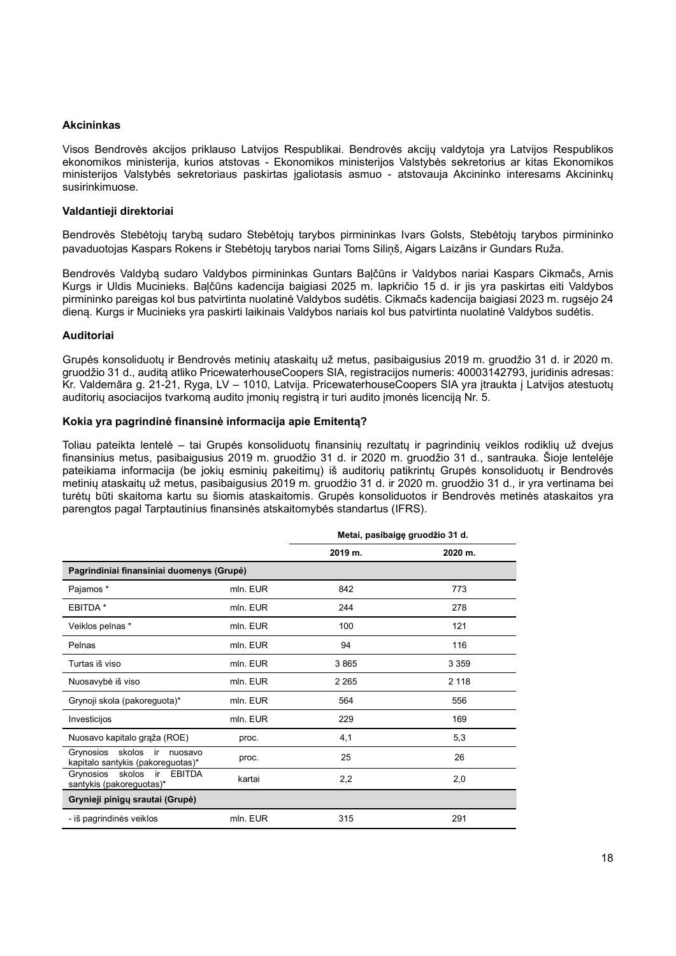### Akcininkas

Visos Bendrovės akcijos priklauso Latvijos Respublikai. Bendrovės akcijų valdytoja yra Latvijos Respublikos ekonomikos ministerija, kurios atstovas - Ekonomikos ministerijos Valstybės sekretorius ar kitas Ekonomikos ministerijos Valstybės sekretoriaus paskirtas įgaliotasis asmuo - atstovauja Akcininko interesams Akcininkų susirinkimuose.

### Valdantieji direktoriai

Bendrovės Stebėtojų tarybą sudaro Stebėtojų tarybos pirmininkas Ivars Golsts, Stebėtojų tarybos pirmininko pavaduotojas Kaspars Rokens ir Stebėtojų tarybos nariai Toms Siliņš, Aigars Laizāns ir Gundars Ruža.

Bendrovės Valdybą sudaro Valdybos pirmininkas Guntars Baļčūns ir Valdybos nariai Kaspars Cikmačs, Arnis Kurgs ir Uldis Mucinieks. Baļčūns kadencija baigiasi 2025 m. lapkričio 15 d. ir jis yra paskirtas eiti Valdybos pirmininko pareigas kol bus patvirtinta nuolatinė Valdybos sudėtis. Cikmačs kadencija baigiasi 2023 m. rugsėjo 24 dieną. Kurgs ir Mucinieks yra paskirti laikinais Valdybos nariais kol bus patvirtinta nuolatinė Valdybos sudėtis.

### Auditoriai

Grupės konsoliduotų ir Bendrovės metinių ataskaitų už metus, pasibaigusius 2019 m. gruodžio 31 d. ir 2020 m. gruodžio 31 d., auditą atliko PricewaterhouseCoopers SIA, registracijos numeris: 40003142793, juridinis adresas: Kr. Valdemāra g. 21-21, Ryga, LV – 1010, Latvija. PricewaterhouseCoopers SIA yra įtraukta į Latvijos atestuotų auditorių asociacijos tvarkomą audito įmonių registrą ir turi audito įmonės licenciją Nr. 5.

### Kokia yra pagrindinė finansinė informacija apie Emitentą?

Toliau pateikta lentelė – tai Grupės konsoliduotų finansinių rezultatų ir pagrindinių veiklos rodiklių už dvejus finansinius metus, pasibaigusius 2019 m. gruodžio 31 d. ir 2020 m. gruodžio 31 d., santrauka. Šioje lentelėje pateikiama informacija (be jokių esminių pakeitimų) iš auditorių patikrintų Grupės konsoliduotų ir Bendrovės metinių ataskaitų už metus, pasibaigusius 2019 m. gruodžio 31 d. ir 2020 m. gruodžio 31 d., ir yra vertinama bei turėtų būti skaitoma kartu su šiomis ataskaitomis. Grupės konsoliduotos ir Bendrovės metinės ataskaitos yra parengtos pagal Tarptautinius finansinės atskaitomybės standartus (IFRS).

|                                                                        |          | Metai, pasibaigę gruodžio 31 d. |         |
|------------------------------------------------------------------------|----------|---------------------------------|---------|
|                                                                        |          | 2019 m.                         | 2020 m. |
| Pagrindiniai finansiniai duomenys (Grupė)                              |          |                                 |         |
| Pajamos *                                                              | mln. EUR | 842                             | 773     |
| EBITDA *                                                               | mln. EUR | 244                             | 278     |
| Veiklos pelnas *                                                       | mln. EUR | 100                             | 121     |
| Pelnas                                                                 | mln. EUR | 94                              | 116     |
| Turtas iš viso                                                         | mln. EUR | 3865                            | 3 3 5 9 |
| Nuosavybė iš viso                                                      | mln. EUR | 2 2 6 5                         | 2 1 1 8 |
| Grynoji skola (pakoreguota)*                                           | mln. EUR | 564                             | 556     |
| Investicijos                                                           | mln. EUR | 229                             | 169     |
| Nuosavo kapitalo grąža (ROE)                                           | proc.    | 4,1                             | 5,3     |
| Grynosios skolos ir<br>nuosavo<br>kapitalo santykis (pakoreguotas)*    | proc.    | 25                              | 26      |
| skolos<br><b>EBITDA</b><br>Grynosios<br>ir<br>santykis (pakoreguotas)* | kartai   | 2,2                             | 2,0     |
| Grynieji pinigų srautai (Grupė)                                        |          |                                 |         |
| - iš pagrindinės veiklos                                               | mln. EUR | 315                             | 291     |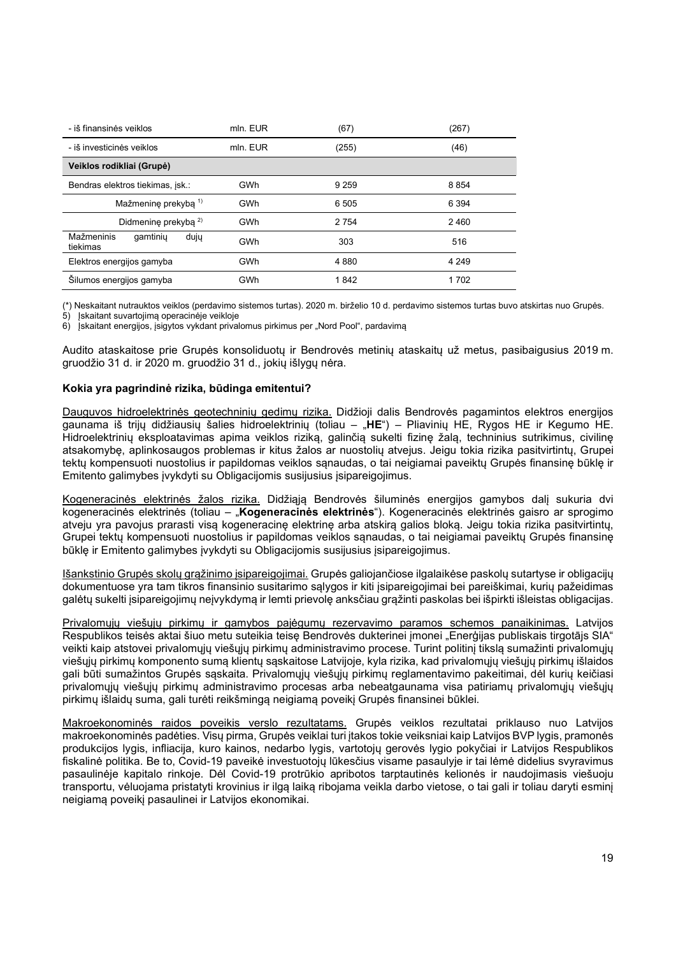| - iš finansinės veiklos                    | mln. EUR | (67)    | (267)   |
|--------------------------------------------|----------|---------|---------|
| - iš investicinės veiklos                  | mln. EUR | (255)   | (46)    |
| Veiklos rodikliai (Grupė)                  |          |         |         |
| Bendras elektros tiekimas, jsk.:           | GWh      | 9 2 5 9 | 8 8 5 4 |
| Mažmeninę prekybą 1)                       | GWh      | 6 5 0 5 | 6 3 9 4 |
| Didmenine prekyba <sup>2)</sup>            | GWh      | 2 7 5 4 | 2460    |
| Mažmeninis<br>gamtiniu<br>dujų<br>tiekimas | GWh      | 303     | 516     |
| Elektros energijos gamyba                  | GWh      | 4880    | 4 2 4 9 |
| Šilumos energijos gamyba                   | GWh      | 1842    | 1702    |

(\*) Neskaitant nutrauktos veiklos (perdavimo sistemos turtas). 2020 m. birželio 10 d. perdavimo sistemos turtas buvo atskirtas nuo Grupės.

5) Įskaitant suvartojimą operacinėje veikloje

iskaitant energijos, įsigytos vykdant privalomus pirkimus per "Nord Pool", pardavima

Audito ataskaitose prie Grupės konsoliduotų ir Bendrovės metinių ataskaitų už metus, pasibaigusius 2019 m. gruodžio 31 d. ir 2020 m. gruodžio 31 d., jokių išlygų nėra.

### Kokia yra pagrindinė rizika, būdinga emitentui?

Dauguvos hidroelektrinės geotechninių gedimų rizika. Didžioji dalis Bendrovės pagamintos elektros energijos gaunama iš trijų didžiausių šalies hidroelektrinių (toliau – "HE") – Pliavinių HE, Rygos HE ir Kegumo HE. Hidroelektrinių eksploatavimas apima veiklos riziką, galinčią sukelti fizinę žalą, techninius sutrikimus, civilinę atsakomybę, aplinkosaugos problemas ir kitus žalos ar nuostolių atvejus. Jeigu tokia rizika pasitvirtintų, Grupei tektų kompensuoti nuostolius ir papildomas veiklos sąnaudas, o tai neigiamai paveiktų Grupės finansinę būklę ir Emitento galimybes įvykdyti su Obligacijomis susijusius įsipareigojimus.

Kogeneracinės elektrinės žalos rizika. Didžiąją Bendrovės šiluminės energijos gamybos dalį sukuria dvi kogeneracinės elektrinės (toliau – "Kogeneracinės elektrinės"). Kogeneracinės elektrinės gaisro ar sprogimo atveju yra pavojus prarasti visą kogeneracinę elektrinę arba atskirą galios bloką. Jeigu tokia rizika pasitvirtintų, Grupei tektų kompensuoti nuostolius ir papildomas veiklos sąnaudas, o tai neigiamai paveiktų Grupės finansinę būklę ir Emitento galimybes įvykdyti su Obligacijomis susijusius įsipareigojimus.

Išankstinio Grupės skolų grąžinimo įsipareigojimai. Grupės galiojančiose ilgalaikėse paskolų sutartyse ir obligacijų dokumentuose yra tam tikros finansinio susitarimo salygos ir kiti įsipareigojimai bei pareiškimai, kurių pažeidimas galėtų sukelti įsipareigojimų neįvykdymą ir lemti prievolę anksčiau grąžinti paskolas bei išpirkti išleistas obligacijas.

Privalomųjų viešųjų pirkimų ir gamybos pajėgumų rezervavimo paramos schemos panaikinimas. Latvijos Respublikos teisės aktai šiuo metu suteikia teisę Bendrovės dukterinei įmonei "Enerģijas publiskais tirgotājs SIA" veikti kaip atstovei privalomųjų viešųjų pirkimų administravimo procese. Turint politinį tikslą sumažinti privalomųjų viešųjų pirkimų komponento sumą klientų sąskaitose Latvijoje, kyla rizika, kad privalomųjų viešųjų pirkimų išlaidos gali būti sumažintos Grupės sąskaita. Privalomųjų viešųjų pirkimų reglamentavimo pakeitimai, dėl kurių keičiasi privalomųjų viešųjų pirkimų administravimo procesas arba nebeatgaunama visa patiriamų privalomųjų viešųjų pirkimų išlaidų suma, gali turėti reikšmingą neigiamą poveikį Grupės finansinei būklei.

Makroekonominės raidos poveikis verslo rezultatams. Grupės veiklos rezultatai priklauso nuo Latvijos makroekonominės padėties. Visų pirma, Grupės veiklai turi įtakos tokie veiksniai kaip Latvijos BVP lygis, pramonės produkcijos lygis, infliacija, kuro kainos, nedarbo lygis, vartotojų gerovės lygio pokyčiai ir Latvijos Respublikos fiskalinė politika. Be to, Covid-19 paveikė investuotojų lūkesčius visame pasaulyje ir tai lėmė didelius svyravimus pasaulinėje kapitalo rinkoje. Dėl Covid-19 protrūkio apribotos tarptautinės kelionės ir naudojimasis viešuoju transportu, vėluojama pristatyti krovinius ir ilgą laiką ribojama veikla darbo vietose, o tai gali ir toliau daryti esminį neigiamą poveikį pasaulinei ir Latvijos ekonomikai.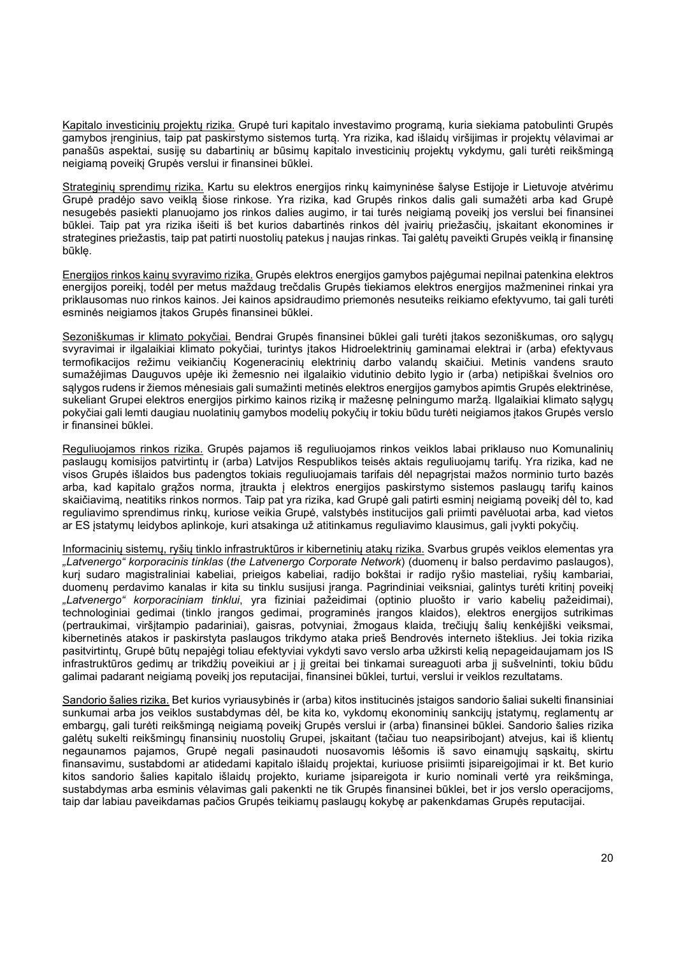Kapitalo investicinių projektų rizika. Grupė turi kapitalo investavimo programą, kuria siekiama patobulinti Grupės gamybos įrenginius, taip pat paskirstymo sistemos turtą. Yra rizika, kad išlaidų viršijimas ir projektų vėlavimai ar panašūs aspektai, susiję su dabartinių ar būsimų kapitalo investicinių projektų vykdymu, gali turėti reikšmingą neigiamą poveikį Grupės verslui ir finansinei būklei.

Strateginių sprendimų rizika. Kartu su elektros energijos rinkų kaimyninėse šalyse Estijoje ir Lietuvoje atvėrimu Grupė pradėjo savo veiklą šiose rinkose. Yra rizika, kad Grupės rinkos dalis gali sumažėti arba kad Grupė nesugebės pasiekti planuojamo jos rinkos dalies augimo, ir tai turės neigiamą poveikį jos verslui bei finansinei būklei. Taip pat yra rizika išeiti iš bet kurios dabartinės rinkos dėl įvairių priežasčių, įskaitant ekonomines ir strategines priežastis, taip pat patirti nuostolių patekus į naujas rinkas. Tai galėtų paveikti Grupės veiklą ir finansinę būklę.

Energijos rinkos kainų svyravimo rizika. Grupės elektros energijos gamybos pajėgumai nepilnai patenkina elektros energijos poreikį, todėl per metus maždaug trečdalis Grupės tiekiamos elektros energijos mažmeninei rinkai yra priklausomas nuo rinkos kainos. Jei kainos apsidraudimo priemonės nesuteiks reikiamo efektyvumo, tai gali turėti esminės neigiamos įtakos Grupės finansinei būklei.

Sezoniškumas ir klimato pokyčiai. Bendrai Grupės finansinei būklei gali turėti įtakos sezoniškumas, oro sąlygų svyravimai ir ilgalaikiai klimato pokyčiai, turintys įtakos Hidroelektrinių gaminamai elektrai ir (arba) efektyvaus termofikacijos režimu veikiančių Kogeneracinių elektrinių darbo valandų skaičiui. Metinis vandens srauto sumažėjimas Dauguvos upėje iki žemesnio nei ilgalaikio vidutinio debito lygio ir (arba) netipiškai švelnios oro sąlygos rudens ir žiemos mėnesiais gali sumažinti metinės elektros energijos gamybos apimtis Grupės elektrinėse, sukeliant Grupei elektros energijos pirkimo kainos riziką ir mažesnę pelningumo maržą. Ilgalaikiai klimato sąlygų pokyčiai gali lemti daugiau nuolatinių gamybos modelių pokyčių ir tokiu būdu turėti neigiamos įtakos Grupės verslo ir finansinei būklei.

Reguliuojamos rinkos rizika. Grupės pajamos iš reguliuojamos rinkos veiklos labai priklauso nuo Komunalinių paslaugų komisijos patvirtintų ir (arba) Latvijos Respublikos teisės aktais reguliuojamų tarifų. Yra rizika, kad ne visos Grupės išlaidos bus padengtos tokiais reguliuojamais tarifais dėl nepagrįstai mažos norminio turto bazės arba, kad kapitalo grąžos norma, įtraukta į elektros energijos paskirstymo sistemos paslaugų tarifų kainos skaičiavimą, neatitiks rinkos normos. Taip pat yra rizika, kad Grupė gali patirti esminį neigiamą poveikį dėl to, kad reguliavimo sprendimus rinkų, kuriose veikia Grupė, valstybės institucijos gali priimti pavėluotai arba, kad vietos ar ES įstatymų leidybos aplinkoje, kuri atsakinga už atitinkamus reguliavimo klausimus, gali įvykti pokyčių.

Informacinių sistemų, ryšių tinklo infrastruktūros ir kibernetinių atakų rizika. Svarbus grupės veiklos elementas yra "Latvenergo" korporacinis tinklas (the Latvenergo Corporate Network) (duomenų ir balso perdavimo paslaugos), kurį sudaro magistraliniai kabeliai, prieigos kabeliai, radijo bokštai ir radijo ryšio masteliai, ryšių kambariai, duomenų perdavimo kanalas ir kita su tinklu susijusi įranga. Pagrindiniai veiksniai, galintys turėti kritinį poveikį "Latvenergo" korporaciniam tinklui, yra fiziniai pažeidimai (optinio pluošto ir vario kabelių pažeidimai), technologiniai gedimai (tinklo įrangos gedimai, programinės įrangos klaidos), elektros energijos sutrikimas (pertraukimai, viršįtampio padariniai), gaisras, potvyniai, žmogaus klaida, trečiųjų šalių kenkėjiški veiksmai, kibernetinės atakos ir paskirstyta paslaugos trikdymo ataka prieš Bendrovės interneto išteklius. Jei tokia rizika pasitvirtintų, Grupė būtų nepajėgi toliau efektyviai vykdyti savo verslo arba užkirsti kelią nepageidaujamam jos IS infrastruktūros gedimų ar trikdžių poveikiui ar į jį greitai bei tinkamai sureaguoti arba jį sušvelninti, tokiu būdu galimai padarant neigiamą poveikį jos reputacijai, finansinei būklei, turtui, verslui ir veiklos rezultatams.

Sandorio šalies rizika. Bet kurios vyriausybinės ir (arba) kitos institucinės įstaigos sandorio šaliai sukelti finansiniai sunkumai arba jos veiklos sustabdymas dėl, be kita ko, vykdomų ekonominių sankcijų įstatymų, reglamentų ar embargų, gali turėti reikšmingą neigiamą poveikį Grupės verslui ir (arba) finansinei būklei. Sandorio šalies rizika galėtų sukelti reikšmingų finansinių nuostolių Grupei, įskaitant (tačiau tuo neapsiribojant) atvejus, kai iš klientų negaunamos pajamos, Grupė negali pasinaudoti nuosavomis lėšomis iš savo einamųjų sąskaitų, skirtu finansavimu, sustabdomi ar atidedami kapitalo išlaidų projektai, kuriuose prisiimti įsipareigojimai ir kt. Bet kurio kitos sandorio šalies kapitalo išlaidų projekto, kuriame įsipareigota ir kurio nominali vertė yra reikšminga, sustabdymas arba esminis vėlavimas gali pakenkti ne tik Grupės finansinei būklei, bet ir jos verslo operacijoms, taip dar labiau paveikdamas pačios Grupės teikiamų paslaugų kokybę ar pakenkdamas Grupės reputacijai.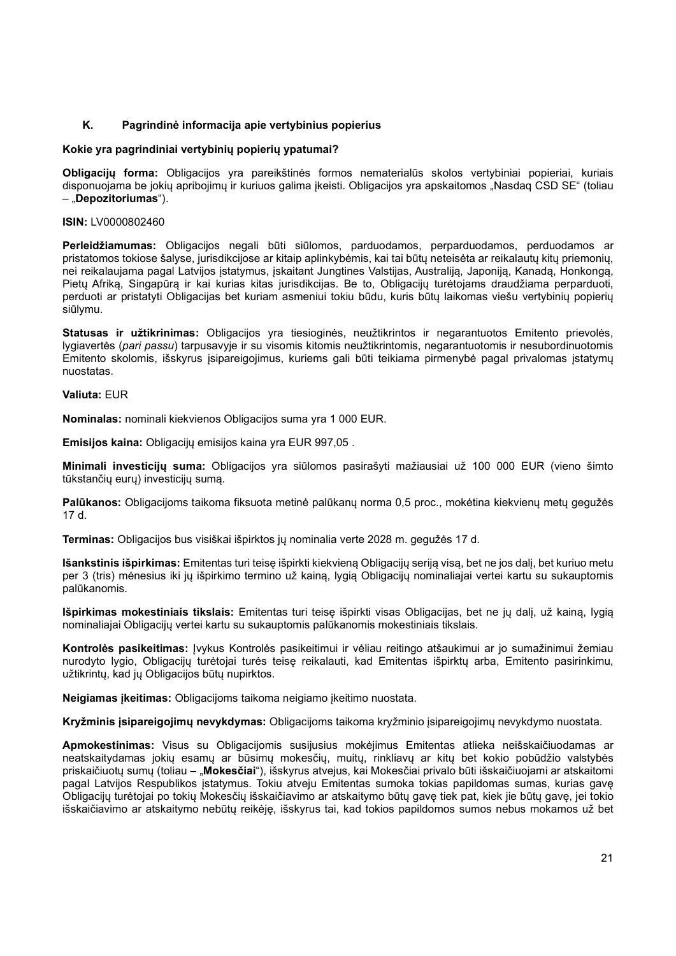## K. Pagrindinė informacija apie vertybinius popierius

### Kokie yra pagrindiniai vertybinių popierių ypatumai?

Obligacijų forma: Obligacijos yra pareikštinės formos nematerialūs skolos vertybiniai popieriai, kuriais disponuojama be jokių apribojimų ir kuriuos galima įkeisti. Obligacijos yra apskaitomos "Nasdaq CSD SE" (toliau – "Depozitoriumas").

#### ISIN: LV0000802460

Perleidžiamumas: Obligacijos negali būti siūlomos, parduodamos, perparduodamos, perduodamos ar pristatomos tokiose šalyse, jurisdikcijose ar kitaip aplinkybėmis, kai tai būtų neteisėta ar reikalautų kitų priemonių, nei reikalaujama pagal Latvijos įstatymus, įskaitant Jungtines Valstijas, Australiją, Japoniją, Kanadą, Honkongą, Pietų Afriką, Singapūrą ir kai kurias kitas jurisdikcijas. Be to, Obligacijų turėtojams draudžiama perparduoti, perduoti ar pristatyti Obligacijas bet kuriam asmeniui tokiu būdu, kuris būtų laikomas viešu vertybinių popierių siūlymu.

Statusas ir užtikrinimas: Obligacijos yra tiesioginės, neužtikrintos ir negarantuotos Emitento prievolės, lygiavertės (pari passu) tarpusavyje ir su visomis kitomis neužtikrintomis, negarantuotomis ir nesubordinuotomis Emitento skolomis, išskyrus įsipareigojimus, kuriems gali būti teikiama pirmenybė pagal privalomas įstatymų nuostatas.

### Valiuta: EUR

Nominalas: nominali kiekvienos Obligacijos suma yra 1 000 EUR.

Emisijos kaina: Obligacijų emisijos kaina yra EUR 997.05.

Minimali investicijų suma: Obligacijos yra siūlomos pasirašyti mažiausiai už 100 000 EUR (vieno šimto tūkstančių eurų) investicijų sumą.

Palūkanos: Obligacijoms taikoma fiksuota metinė palūkanų norma 0,5 proc., mokėtina kiekvienų metų gegužės 17 d.

Terminas: Obligacijos bus visiškai išpirktos jų nominalia verte 2028 m. gegužės 17 d.

Išankstinis išpirkimas: Emitentas turi teisę išpirkti kiekvieną Obligacijų seriją visą, bet ne jos dalį, bet kuriuo metu per 3 (tris) mėnesius iki jų išpirkimo termino už kainą, lygią Obligacijų nominaliajai vertei kartu su sukauptomis palūkanomis.

Išpirkimas mokestiniais tikslais: Emitentas turi teisę išpirkti visas Obligacijas, bet ne jų dalį, už kainą, lygią nominaliajai Obligacijų vertei kartu su sukauptomis palūkanomis mokestiniais tikslais.

Kontrolės pasikeitimas: Įvykus Kontrolės pasikeitimui ir vėliau reitingo atšaukimui ar jo sumažinimui žemiau nurodyto lygio, Obligacijų turėtojai turės teisę reikalauti, kad Emitentas išpirktų arba, Emitento pasirinkimu, užtikrintų, kad jų Obligacijos būtų nupirktos.

Neigiamas įkeitimas: Obligacijoms taikoma neigiamo įkeitimo nuostata.

Kryžminis įsipareigojimų nevykdymas: Obligacijoms taikoma kryžminio įsipareigojimų nevykdymo nuostata.

Apmokestinimas: Visus su Obligacijomis susijusius mokėjimus Emitentas atlieka neišskaičiuodamas ar neatskaitydamas jokių esamų ar būsimų mokesčių, muitų, rinkliavų ar kitų bet kokio pobūdžio valstybės priskaičiuotų sumų (toliau – "Mokesčiai"), išskyrus atvejus, kai Mokesčiai privalo būti išskaičiuojami ar atskaitomi pagal Latvijos Respublikos įstatymus. Tokiu atveju Emitentas sumoka tokias papildomas sumas, kurias gavę Obligacijų turėtojai po tokių Mokesčių išskaičiavimo ar atskaitymo būtų gavę tiek pat, kiek jie būtų gavę, jei tokio išskaičiavimo ar atskaitymo nebūtų reikėję, išskyrus tai, kad tokios papildomos sumos nebus mokamos už bet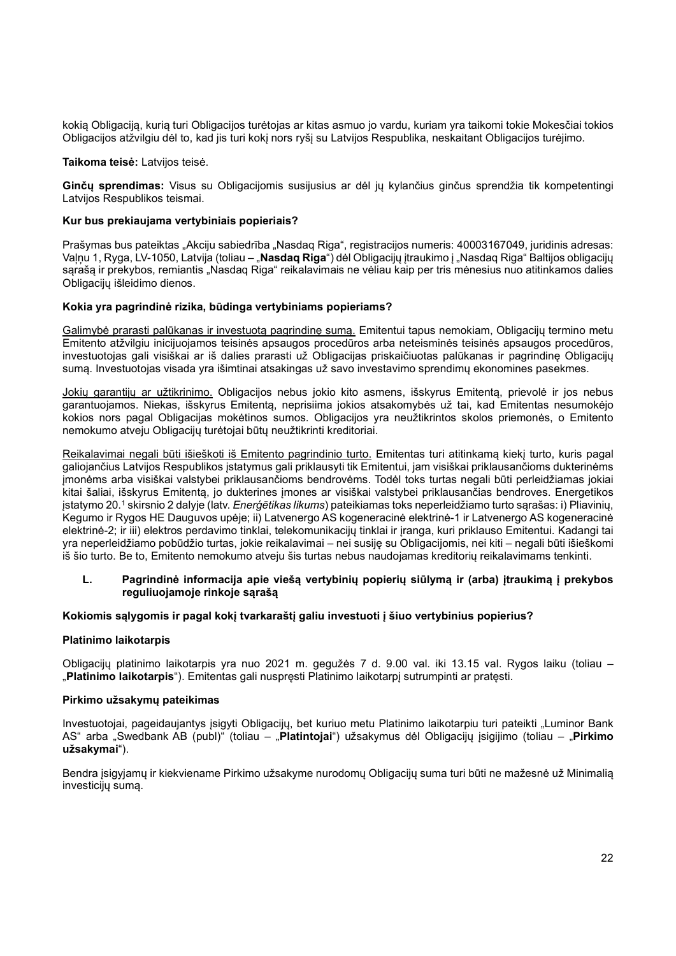kokią Obligaciją, kurią turi Obligacijos turėtojas ar kitas asmuo jo vardu, kuriam yra taikomi tokie Mokesčiai tokios Obligacijos atžvilgiu dėl to, kad jis turi kokį nors ryšį su Latvijos Respublika, neskaitant Obligacijos turėjimo.

Taikoma teisė: Latvijos teisė.

Ginčų sprendimas: Visus su Obligacijomis susijusius ar dėl jų kylančius ginčus sprendžia tik kompetentingi Latvijos Respublikos teismai.

### Kur bus prekiaujama vertybiniais popieriais?

Prašymas bus pateiktas "Akciju sabiedrība "Nasdaq Riga", registracijos numeris: 40003167049, juridinis adresas: Valnu 1, Ryga, LV-1050, Latvija (toliau – "Nasdaq Riga") dėl Obligacijų itraukimo į "Nasdag Riga" Baltijos obligacijų sarašą ir prekybos, remiantis "Nasdaq Riga" reikalavimais ne vėliau kaip per tris mėnesius nuo atitinkamos dalies Obligacijų išleidimo dienos.

## Kokia yra pagrindinė rizika, būdinga vertybiniams popieriams?

Galimybė prarasti palūkanas ir investuotą pagrindinę sumą. Emitentui tapus nemokiam, Obligacijų termino metu Emitento atžvilgiu inicijuojamos teisinės apsaugos procedūros arba neteisminės teisinės apsaugos procedūros, investuotojas gali visiškai ar iš dalies prarasti už Obligacijas priskaičiuotas palūkanas ir pagrindinę Obligacijų sumą. Investuotojas visada yra išimtinai atsakingas už savo investavimo sprendimų ekonomines pasekmes.

Jokių garantijų ar užtikrinimo. Obligacijos nebus jokio kito asmens, išskyrus Emitentą, prievolė ir jos nebus garantuojamos. Niekas, išskyrus Emitentą, neprisiima jokios atsakomybės už tai, kad Emitentas nesumokėjo kokios nors pagal Obligacijas mokėtinos sumos. Obligacijos yra neužtikrintos skolos priemonės, o Emitento nemokumo atveju Obligacijų turėtojai būtų neužtikrinti kreditoriai.

Reikalavimai negali būti išieškoti iš Emitento pagrindinio turto. Emitentas turi atitinkamą kiekį turto, kuris pagal galiojančius Latvijos Respublikos įstatymus gali priklausyti tik Emitentui, jam visiškai priklausančioms dukterinėms įmonėms arba visiškai valstybei priklausančioms bendrovėms. Todėl toks turtas negali būti perleidžiamas jokiai kitai šaliai, išskyrus Emitentą, jo dukterines įmones ar visiškai valstybei priklausančias bendroves. Energetikos įstatymo 20.<sup>1</sup> skirsnio 2 dalyje (latv. *Enerģētikas likums*) pateikiamas toks neperleidžiamo turto sąrašas: i) Pliavinių, Kegumo ir Rygos HE Dauguvos upėje; ii) Latvenergo AS kogeneracinė elektrinė-1 ir Latvenergo AS kogeneracinė elektrinė-2; ir iii) elektros perdavimo tinklai, telekomunikacijų tinklai ir įranga, kuri priklauso Emitentui. Kadangi tai yra neperleidžiamo pobūdžio turtas, jokie reikalavimai – nei susiję su Obligacijomis, nei kiti – negali būti išieškomi iš šio turto. Be to, Emitento nemokumo atveju šis turtas nebus naudojamas kreditorių reikalavimams tenkinti.

## L. Pagrindinė informacija apie viešą vertybinių popierių siūlymą ir (arba) įtraukimą į prekybos reguliuojamoje rinkoje sąrašą

## Kokiomis sąlygomis ir pagal kokį tvarkaraštį galiu investuoti į šiuo vertybinius popierius?

#### Platinimo laikotarpis

Obligacijų platinimo laikotarpis yra nuo 2021 m. gegužės 7 d. 9.00 val. iki 13.15 val. Rygos laiku (toliau – "Platinimo laikotarpis"). Emitentas gali nuspręsti Platinimo laikotarpį sutrumpinti ar pratęsti.

#### Pirkimo užsakymų pateikimas

Investuotojai, pageidaujantys įsigyti Obligacijų, bet kuriuo metu Platinimo laikotarpiu turi pateikti "Luminor Bank AS" arba "Swedbank AB (publ)" (toliau – "Platintojai") užsakymus dėl Obligacijų įsigijimo (toliau – "Pirkimo užsakymai").

Bendra įsigyjamų ir kiekviename Pirkimo užsakyme nurodomų Obligacijų suma turi būti ne mažesnė už Minimalią investicijų sumą.